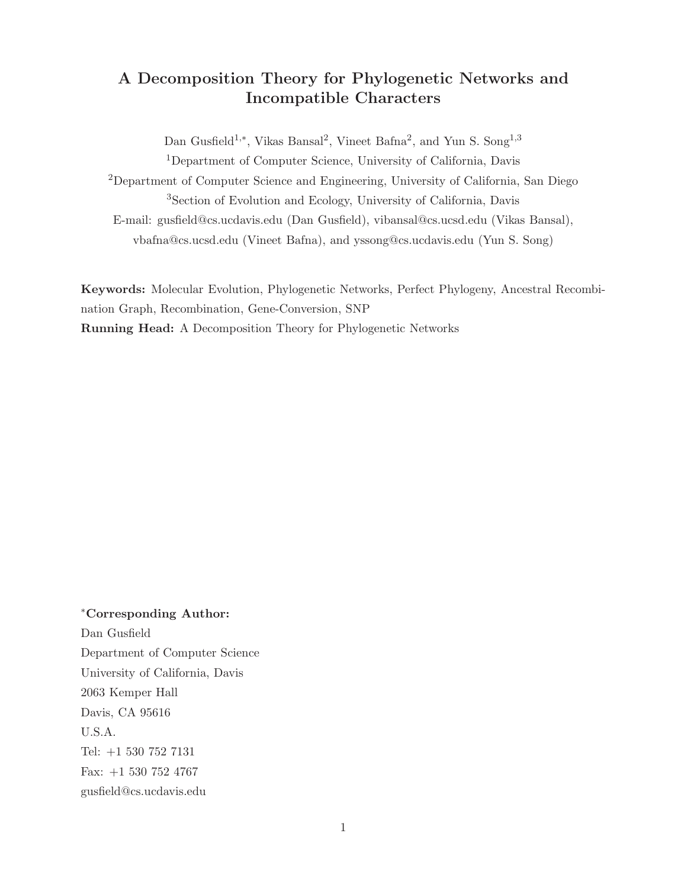# A Decomposition Theory for Phylogenetic Networks and Incompatible Characters

Dan Gusfield<sup>1,\*</sup>, Vikas Bansal<sup>2</sup>, Vineet Bafna<sup>2</sup>, and Yun S. Song<sup>1,3</sup> <sup>1</sup>Department of Computer Science, University of California, Davis

<sup>2</sup>Department of Computer Science and Engineering, University of California, San Diego <sup>3</sup>Section of Evolution and Ecology, University of California, Davis

E-mail: gusfield@cs.ucdavis.edu (Dan Gusfield), vibansal@cs.ucsd.edu (Vikas Bansal), vbafna@cs.ucsd.edu (Vineet Bafna), and yssong@cs.ucdavis.edu (Yun S. Song)

Keywords: Molecular Evolution, Phylogenetic Networks, Perfect Phylogeny, Ancestral Recombination Graph, Recombination, Gene-Conversion, SNP Running Head: A Decomposition Theory for Phylogenetic Networks

<sup>∗</sup>Corresponding Author: Dan Gusfield Department of Computer Science University of California, Davis 2063 Kemper Hall Davis, CA 95616 U.S.A. Tel: +1 530 752 7131 Fax: +1 530 752 4767 gusfield@cs.ucdavis.edu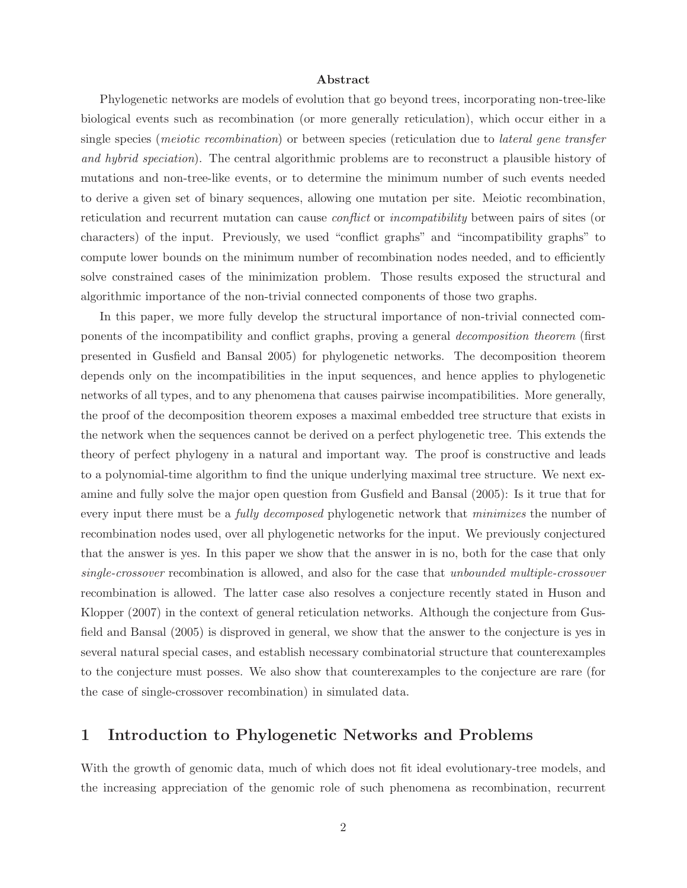## Abstract

Phylogenetic networks are models of evolution that go beyond trees, incorporating non-tree-like biological events such as recombination (or more generally reticulation), which occur either in a single species (*meiotic recombination*) or between species (reticulation due to *lateral gene transfer* and hybrid speciation). The central algorithmic problems are to reconstruct a plausible history of mutations and non-tree-like events, or to determine the minimum number of such events needed to derive a given set of binary sequences, allowing one mutation per site. Meiotic recombination, reticulation and recurrent mutation can cause *conflict* or *incompatibility* between pairs of sites (or characters) of the input. Previously, we used "conflict graphs" and "incompatibility graphs" to compute lower bounds on the minimum number of recombination nodes needed, and to efficiently solve constrained cases of the minimization problem. Those results exposed the structural and algorithmic importance of the non-trivial connected components of those two graphs.

In this paper, we more fully develop the structural importance of non-trivial connected components of the incompatibility and conflict graphs, proving a general decomposition theorem (first presented in Gusfield and Bansal 2005) for phylogenetic networks. The decomposition theorem depends only on the incompatibilities in the input sequences, and hence applies to phylogenetic networks of all types, and to any phenomena that causes pairwise incompatibilities. More generally, the proof of the decomposition theorem exposes a maximal embedded tree structure that exists in the network when the sequences cannot be derived on a perfect phylogenetic tree. This extends the theory of perfect phylogeny in a natural and important way. The proof is constructive and leads to a polynomial-time algorithm to find the unique underlying maximal tree structure. We next examine and fully solve the major open question from Gusfield and Bansal (2005): Is it true that for every input there must be a *fully decomposed* phylogenetic network that *minimizes* the number of recombination nodes used, over all phylogenetic networks for the input. We previously conjectured that the answer is yes. In this paper we show that the answer in is no, both for the case that only single-crossover recombination is allowed, and also for the case that unbounded multiple-crossover recombination is allowed. The latter case also resolves a conjecture recently stated in Huson and Klopper (2007) in the context of general reticulation networks. Although the conjecture from Gusfield and Bansal (2005) is disproved in general, we show that the answer to the conjecture is yes in several natural special cases, and establish necessary combinatorial structure that counterexamples to the conjecture must posses. We also show that counterexamples to the conjecture are rare (for the case of single-crossover recombination) in simulated data.

# 1 Introduction to Phylogenetic Networks and Problems

With the growth of genomic data, much of which does not fit ideal evolutionary-tree models, and the increasing appreciation of the genomic role of such phenomena as recombination, recurrent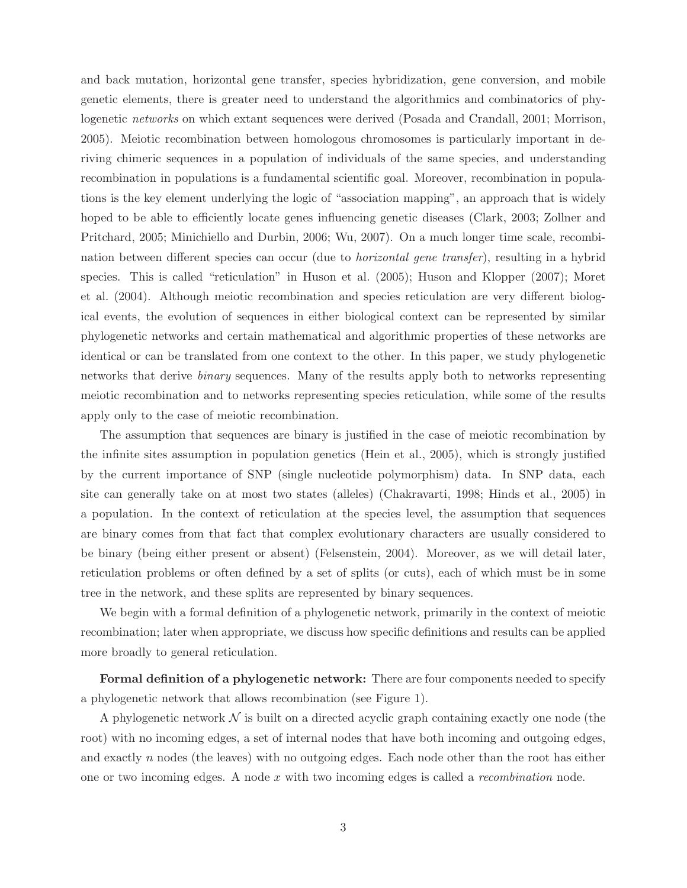and back mutation, horizontal gene transfer, species hybridization, gene conversion, and mobile genetic elements, there is greater need to understand the algorithmics and combinatorics of phylogenetic networks on which extant sequences were derived (Posada and Crandall, 2001; Morrison, 2005). Meiotic recombination between homologous chromosomes is particularly important in deriving chimeric sequences in a population of individuals of the same species, and understanding recombination in populations is a fundamental scientific goal. Moreover, recombination in populations is the key element underlying the logic of "association mapping", an approach that is widely hoped to be able to efficiently locate genes influencing genetic diseases (Clark, 2003; Zollner and Pritchard, 2005; Minichiello and Durbin, 2006; Wu, 2007). On a much longer time scale, recombination between different species can occur (due to horizontal gene transfer), resulting in a hybrid species. This is called "reticulation" in Huson et al. (2005); Huson and Klopper (2007); Moret et al. (2004). Although meiotic recombination and species reticulation are very different biological events, the evolution of sequences in either biological context can be represented by similar phylogenetic networks and certain mathematical and algorithmic properties of these networks are identical or can be translated from one context to the other. In this paper, we study phylogenetic networks that derive *binary* sequences. Many of the results apply both to networks representing meiotic recombination and to networks representing species reticulation, while some of the results apply only to the case of meiotic recombination.

The assumption that sequences are binary is justified in the case of meiotic recombination by the infinite sites assumption in population genetics (Hein et al., 2005), which is strongly justified by the current importance of SNP (single nucleotide polymorphism) data. In SNP data, each site can generally take on at most two states (alleles) (Chakravarti, 1998; Hinds et al., 2005) in a population. In the context of reticulation at the species level, the assumption that sequences are binary comes from that fact that complex evolutionary characters are usually considered to be binary (being either present or absent) (Felsenstein, 2004). Moreover, as we will detail later, reticulation problems or often defined by a set of splits (or cuts), each of which must be in some tree in the network, and these splits are represented by binary sequences.

We begin with a formal definition of a phylogenetic network, primarily in the context of meiotic recombination; later when appropriate, we discuss how specific definitions and results can be applied more broadly to general reticulation.

Formal definition of a phylogenetic network: There are four components needed to specify a phylogenetic network that allows recombination (see Figure 1).

A phylogenetic network  $\mathcal N$  is built on a directed acyclic graph containing exactly one node (the root) with no incoming edges, a set of internal nodes that have both incoming and outgoing edges, and exactly  $n$  nodes (the leaves) with no outgoing edges. Each node other than the root has either one or two incoming edges. A node x with two incoming edges is called a recombination node.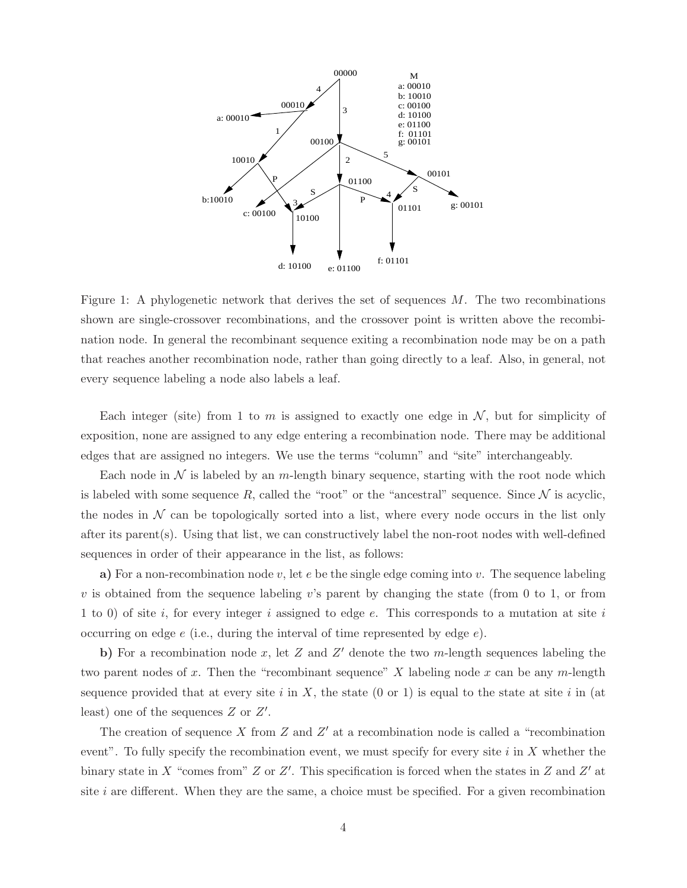

Figure 1: A phylogenetic network that derives the set of sequences  $M$ . The two recombinations shown are single-crossover recombinations, and the crossover point is written above the recombination node. In general the recombinant sequence exiting a recombination node may be on a path that reaches another recombination node, rather than going directly to a leaf. Also, in general, not every sequence labeling a node also labels a leaf.

Each integer (site) from 1 to m is assigned to exactly one edge in  $\mathcal{N}$ , but for simplicity of exposition, none are assigned to any edge entering a recombination node. There may be additional edges that are assigned no integers. We use the terms "column" and "site" interchangeably.

Each node in  $\mathcal N$  is labeled by an *m*-length binary sequence, starting with the root node which is labeled with some sequence R, called the "root" or the "ancestral" sequence. Since  $\mathcal N$  is acyclic, the nodes in  $\mathcal N$  can be topologically sorted into a list, where every node occurs in the list only after its parent(s). Using that list, we can constructively label the non-root nodes with well-defined sequences in order of their appearance in the list, as follows:

a) For a non-recombination node v, let  $e$  be the single edge coming into v. The sequence labeling v is obtained from the sequence labeling v's parent by changing the state (from 0 to 1, or from 1 to 0) of site i, for every integer i assigned to edge e. This corresponds to a mutation at site i occurring on edge  $e$  (i.e., during the interval of time represented by edge  $e$ ).

b) For a recombination node x, let Z and Z' denote the two m-length sequences labeling the two parent nodes of x. Then the "recombinant sequence" X labeling node x can be any m-length sequence provided that at every site i in X, the state  $(0 \text{ or } 1)$  is equal to the state at site i in (at least) one of the sequences  $Z$  or  $Z'$ .

The creation of sequence  $X$  from  $Z$  and  $Z'$  at a recombination node is called a "recombination" event". To fully specify the recombination event, we must specify for every site  $i$  in  $X$  whether the binary state in X "comes from" Z or Z'. This specification is forced when the states in Z and Z' at site  $i$  are different. When they are the same, a choice must be specified. For a given recombination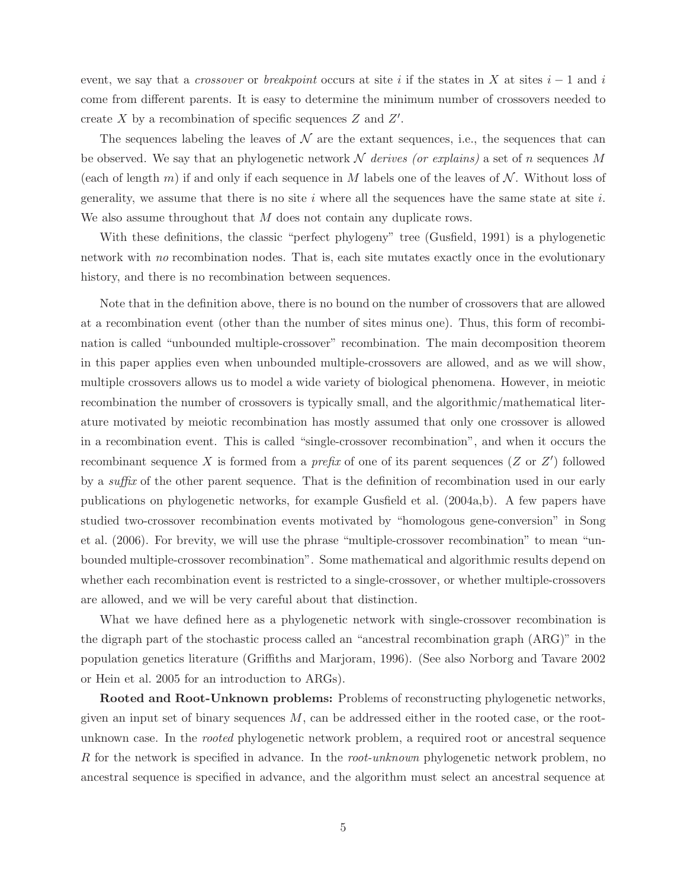event, we say that a *crossover* or *breakpoint* occurs at site i if the states in X at sites  $i - 1$  and i come from different parents. It is easy to determine the minimum number of crossovers needed to create  $X$  by a recombination of specific sequences  $Z$  and  $Z'$ .

The sequences labeling the leaves of  $\mathcal N$  are the extant sequences, i.e., the sequences that can be observed. We say that an phylogenetic network N derives (or explains) a set of n sequences M (each of length m) if and only if each sequence in M labels one of the leaves of  $N$ . Without loss of generality, we assume that there is no site i where all the sequences have the same state at site i. We also assume throughout that M does not contain any duplicate rows.

With these definitions, the classic "perfect phylogeny" tree (Gusfield, 1991) is a phylogenetic network with no recombination nodes. That is, each site mutates exactly once in the evolutionary history, and there is no recombination between sequences.

Note that in the definition above, there is no bound on the number of crossovers that are allowed at a recombination event (other than the number of sites minus one). Thus, this form of recombination is called "unbounded multiple-crossover" recombination. The main decomposition theorem in this paper applies even when unbounded multiple-crossovers are allowed, and as we will show, multiple crossovers allows us to model a wide variety of biological phenomena. However, in meiotic recombination the number of crossovers is typically small, and the algorithmic/mathematical literature motivated by meiotic recombination has mostly assumed that only one crossover is allowed in a recombination event. This is called "single-crossover recombination", and when it occurs the recombinant sequence X is formed from a *prefix* of one of its parent sequences (Z or  $Z'$ ) followed by a suffix of the other parent sequence. That is the definition of recombination used in our early publications on phylogenetic networks, for example Gusfield et al. (2004a,b). A few papers have studied two-crossover recombination events motivated by "homologous gene-conversion" in Song et al. (2006). For brevity, we will use the phrase "multiple-crossover recombination" to mean "unbounded multiple-crossover recombination". Some mathematical and algorithmic results depend on whether each recombination event is restricted to a single-crossover, or whether multiple-crossovers are allowed, and we will be very careful about that distinction.

What we have defined here as a phylogenetic network with single-crossover recombination is the digraph part of the stochastic process called an "ancestral recombination graph (ARG)" in the population genetics literature (Griffiths and Marjoram, 1996). (See also Norborg and Tavare 2002 or Hein et al. 2005 for an introduction to ARGs).

Rooted and Root-Unknown problems: Problems of reconstructing phylogenetic networks, given an input set of binary sequences  $M$ , can be addressed either in the rooted case, or the rootunknown case. In the rooted phylogenetic network problem, a required root or ancestral sequence R for the network is specified in advance. In the root-unknown phylogenetic network problem, no ancestral sequence is specified in advance, and the algorithm must select an ancestral sequence at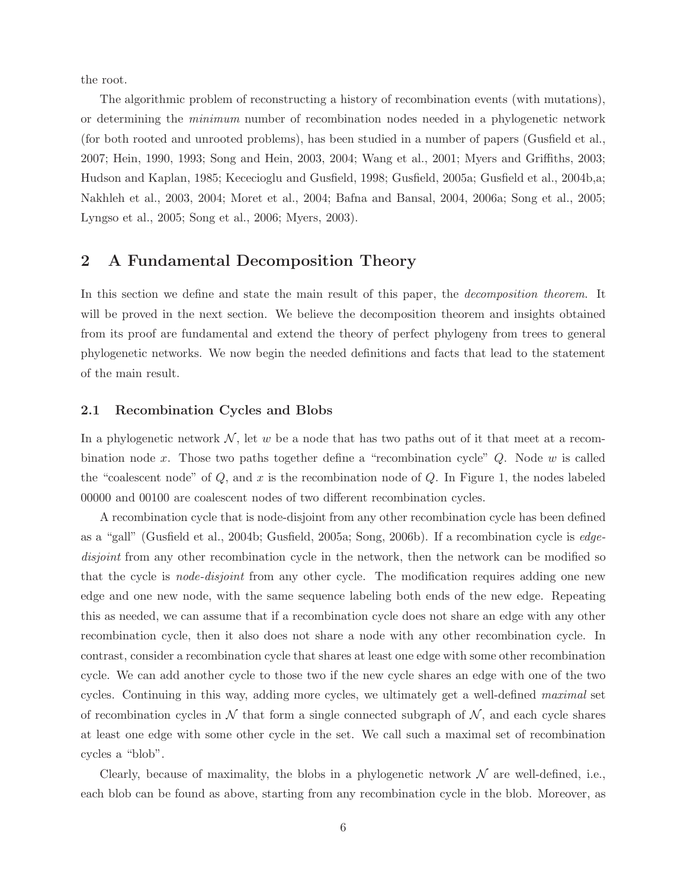the root.

The algorithmic problem of reconstructing a history of recombination events (with mutations), or determining the minimum number of recombination nodes needed in a phylogenetic network (for both rooted and unrooted problems), has been studied in a number of papers (Gusfield et al., 2007; Hein, 1990, 1993; Song and Hein, 2003, 2004; Wang et al., 2001; Myers and Griffiths, 2003; Hudson and Kaplan, 1985; Kececioglu and Gusfield, 1998; Gusfield, 2005a; Gusfield et al., 2004b,a; Nakhleh et al., 2003, 2004; Moret et al., 2004; Bafna and Bansal, 2004, 2006a; Song et al., 2005; Lyngso et al., 2005; Song et al., 2006; Myers, 2003).

# 2 A Fundamental Decomposition Theory

In this section we define and state the main result of this paper, the *decomposition theorem*. It will be proved in the next section. We believe the decomposition theorem and insights obtained from its proof are fundamental and extend the theory of perfect phylogeny from trees to general phylogenetic networks. We now begin the needed definitions and facts that lead to the statement of the main result.

## 2.1 Recombination Cycles and Blobs

In a phylogenetic network  $\mathcal{N}$ , let w be a node that has two paths out of it that meet at a recombination node x. Those two paths together define a "recombination cycle"  $Q$ . Node w is called the "coalescent node" of  $Q$ , and x is the recombination node of  $Q$ . In Figure 1, the nodes labeled 00000 and 00100 are coalescent nodes of two different recombination cycles.

A recombination cycle that is node-disjoint from any other recombination cycle has been defined as a "gall" (Gusfield et al., 2004b; Gusfield, 2005a; Song, 2006b). If a recombination cycle is edgedisjoint from any other recombination cycle in the network, then the network can be modified so that the cycle is *node-disjoint* from any other cycle. The modification requires adding one new edge and one new node, with the same sequence labeling both ends of the new edge. Repeating this as needed, we can assume that if a recombination cycle does not share an edge with any other recombination cycle, then it also does not share a node with any other recombination cycle. In contrast, consider a recombination cycle that shares at least one edge with some other recombination cycle. We can add another cycle to those two if the new cycle shares an edge with one of the two cycles. Continuing in this way, adding more cycles, we ultimately get a well-defined maximal set of recombination cycles in  $\mathcal N$  that form a single connected subgraph of  $\mathcal N$ , and each cycle shares at least one edge with some other cycle in the set. We call such a maximal set of recombination cycles a "blob".

Clearly, because of maximality, the blobs in a phylogenetic network  $\mathcal N$  are well-defined, i.e., each blob can be found as above, starting from any recombination cycle in the blob. Moreover, as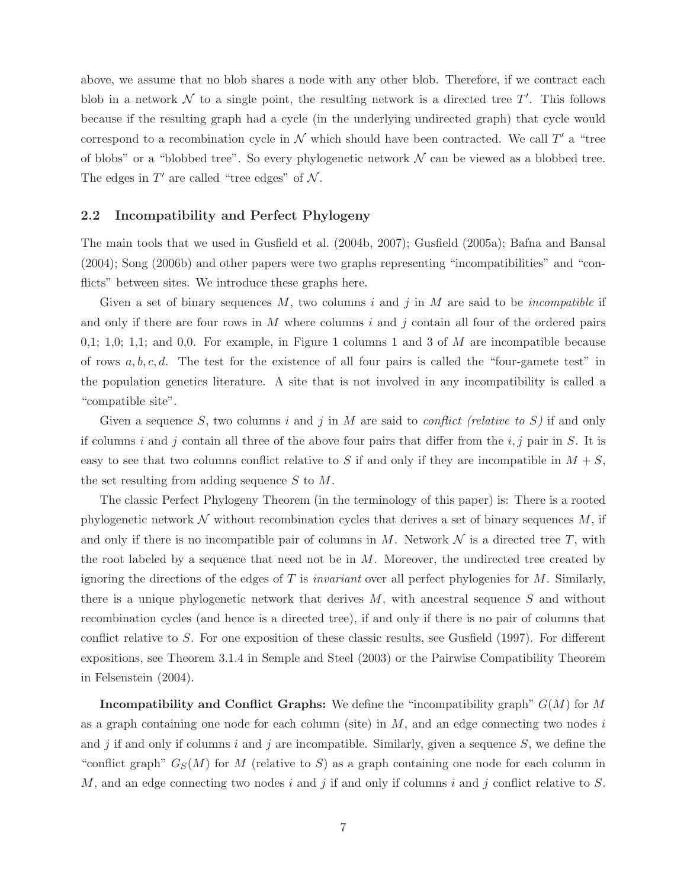above, we assume that no blob shares a node with any other blob. Therefore, if we contract each blob in a network  $\mathcal N$  to a single point, the resulting network is a directed tree  $T'$ . This follows because if the resulting graph had a cycle (in the underlying undirected graph) that cycle would correspond to a recombination cycle in  $\mathcal N$  which should have been contracted. We call  $T'$  a "tree of blobs" or a "blobbed tree". So every phylogenetic network  $N$  can be viewed as a blobbed tree. The edges in  $T'$  are called "tree edges" of  $N$ .

## 2.2 Incompatibility and Perfect Phylogeny

The main tools that we used in Gusfield et al. (2004b, 2007); Gusfield (2005a); Bafna and Bansal (2004); Song (2006b) and other papers were two graphs representing "incompatibilities" and "conflicts" between sites. We introduce these graphs here.

Given a set of binary sequences  $M$ , two columns i and j in  $M$  are said to be *incompatible* if and only if there are four rows in  $M$  where columns  $i$  and  $j$  contain all four of the ordered pairs 0,1; 1,0; 1,1; and 0,0. For example, in Figure 1 columns 1 and 3 of  $M$  are incompatible because of rows  $a, b, c, d$ . The test for the existence of all four pairs is called the "four-gamete test" in the population genetics literature. A site that is not involved in any incompatibility is called a "compatible site".

Given a sequence S, two columns i and j in M are said to conflict (relative to S) if and only if columns i and j contain all three of the above four pairs that differ from the i, j pair in  $S$ . It is easy to see that two columns conflict relative to S if and only if they are incompatible in  $M + S$ , the set resulting from adding sequence  $S$  to  $M$ .

The classic Perfect Phylogeny Theorem (in the terminology of this paper) is: There is a rooted phylogenetic network  $\mathcal N$  without recombination cycles that derives a set of binary sequences  $M$ , if and only if there is no incompatible pair of columns in M. Network  $\mathcal N$  is a directed tree T, with the root labeled by a sequence that need not be in  $M$ . Moreover, the undirected tree created by ignoring the directions of the edges of T is *invariant* over all perfect phylogenies for  $M$ . Similarly, there is a unique phylogenetic network that derives  $M$ , with ancestral sequence  $S$  and without recombination cycles (and hence is a directed tree), if and only if there is no pair of columns that conflict relative to S. For one exposition of these classic results, see Gusfield (1997). For different expositions, see Theorem 3.1.4 in Semple and Steel (2003) or the Pairwise Compatibility Theorem in Felsenstein (2004).

**Incompatibility and Conflict Graphs:** We define the "incompatibility graph"  $G(M)$  for M as a graph containing one node for each column (site) in  $M$ , and an edge connecting two nodes i and j if and only if columns i and j are incompatible. Similarly, given a sequence  $S$ , we define the "conflict graph"  $G_S(M)$  for M (relative to S) as a graph containing one node for each column in M, and an edge connecting two nodes i and j if and only if columns i and j conflict relative to  $S$ .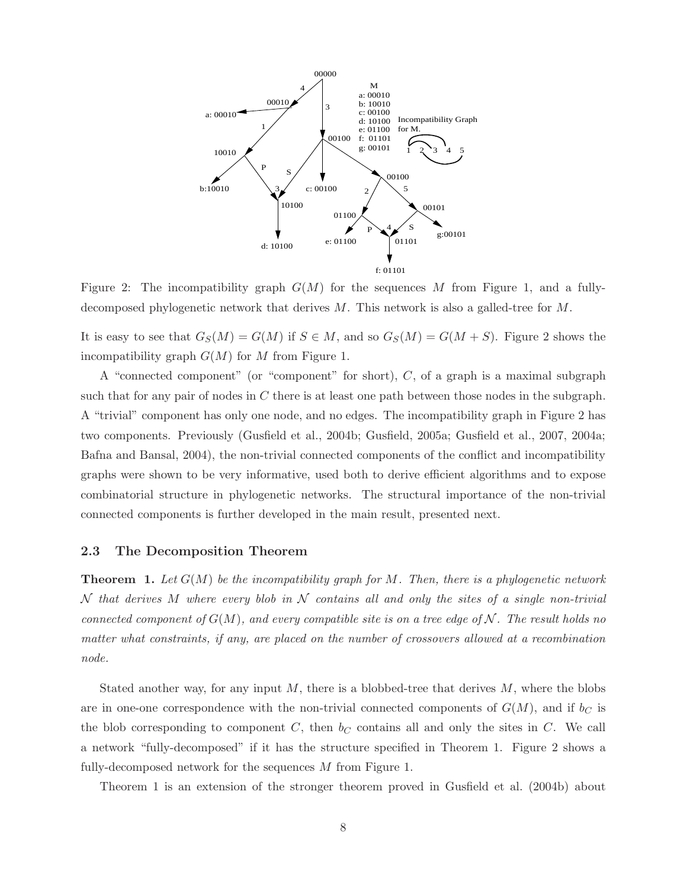

Figure 2: The incompatibility graph  $G(M)$  for the sequences M from Figure 1, and a fullydecomposed phylogenetic network that derives M. This network is also a galled-tree for M.

It is easy to see that  $G_S(M) = G(M)$  if  $S \in M$ , and so  $G_S(M) = G(M + S)$ . Figure 2 shows the incompatibility graph  $G(M)$  for M from Figure 1.

A "connected component" (or "component" for short), C, of a graph is a maximal subgraph such that for any pair of nodes in  $C$  there is at least one path between those nodes in the subgraph. A "trivial" component has only one node, and no edges. The incompatibility graph in Figure 2 has two components. Previously (Gusfield et al., 2004b; Gusfield, 2005a; Gusfield et al., 2007, 2004a; Bafna and Bansal, 2004), the non-trivial connected components of the conflict and incompatibility graphs were shown to be very informative, used both to derive efficient algorithms and to expose combinatorial structure in phylogenetic networks. The structural importance of the non-trivial connected components is further developed in the main result, presented next.

## 2.3 The Decomposition Theorem

**Theorem 1.** Let  $G(M)$  be the incompatibility graph for M. Then, there is a phylogenetic network N that derives M where every blob in N contains all and only the sites of a single non-trivial connected component of  $G(M)$ , and every compatible site is on a tree edge of N. The result holds no matter what constraints, if any, are placed on the number of crossovers allowed at a recombination node.

Stated another way, for any input  $M$ , there is a blobbed-tree that derives  $M$ , where the blobs are in one-one correspondence with the non-trivial connected components of  $G(M)$ , and if  $b<sub>C</sub>$  is the blob corresponding to component  $C$ , then  $b<sub>C</sub>$  contains all and only the sites in  $C$ . We call a network "fully-decomposed" if it has the structure specified in Theorem 1. Figure 2 shows a fully-decomposed network for the sequences M from Figure 1.

Theorem 1 is an extension of the stronger theorem proved in Gusfield et al. (2004b) about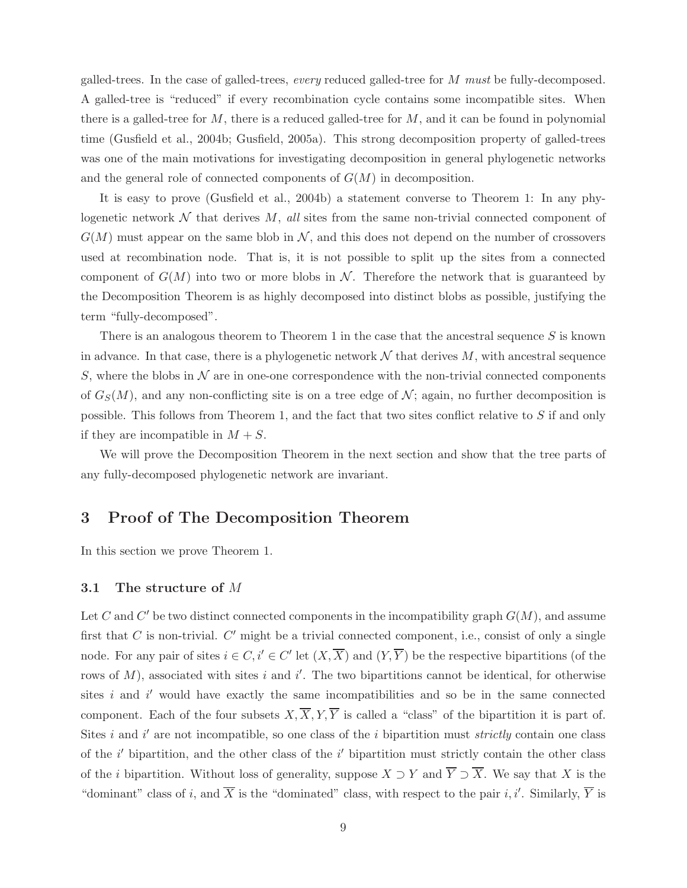galled-trees. In the case of galled-trees, every reduced galled-tree for M must be fully-decomposed. A galled-tree is "reduced" if every recombination cycle contains some incompatible sites. When there is a galled-tree for  $M$ , there is a reduced galled-tree for  $M$ , and it can be found in polynomial time (Gusfield et al., 2004b; Gusfield, 2005a). This strong decomposition property of galled-trees was one of the main motivations for investigating decomposition in general phylogenetic networks and the general role of connected components of  $G(M)$  in decomposition.

It is easy to prove (Gusfield et al., 2004b) a statement converse to Theorem 1: In any phylogenetic network  $\mathcal N$  that derives  $M$ , all sites from the same non-trivial connected component of  $G(M)$  must appear on the same blob in  $\mathcal{N}$ , and this does not depend on the number of crossovers used at recombination node. That is, it is not possible to split up the sites from a connected component of  $G(M)$  into two or more blobs in N. Therefore the network that is guaranteed by the Decomposition Theorem is as highly decomposed into distinct blobs as possible, justifying the term "fully-decomposed".

There is an analogous theorem to Theorem 1 in the case that the ancestral sequence S is known in advance. In that case, there is a phylogenetic network  $\mathcal N$  that derives  $M$ , with ancestral sequence S, where the blobs in  $\mathcal N$  are in one-one correspondence with the non-trivial connected components of  $G<sub>S</sub>(M)$ , and any non-conflicting site is on a tree edge of  $N$ ; again, no further decomposition is possible. This follows from Theorem 1, and the fact that two sites conflict relative to  $S$  if and only if they are incompatible in  $M + S$ .

We will prove the Decomposition Theorem in the next section and show that the tree parts of any fully-decomposed phylogenetic network are invariant.

# 3 Proof of The Decomposition Theorem

In this section we prove Theorem 1.

## 3.1 The structure of M

Let C and C' be two distinct connected components in the incompatibility graph  $G(M)$ , and assume first that  $C$  is non-trivial.  $C'$  might be a trivial connected component, i.e., consist of only a single node. For any pair of sites  $i \in C, i' \in C'$  let  $(X, \overline{X})$  and  $(Y, \overline{Y})$  be the respective bipartitions (of the rows of  $M$ ), associated with sites i and i'. The two bipartitions cannot be identical, for otherwise sites  $i$  and  $i'$  would have exactly the same incompatibilities and so be in the same connected component. Each of the four subsets  $X, \overline{X}, Y, \overline{Y}$  is called a "class" of the bipartition it is part of. Sites  $i$  and  $i'$  are not incompatible, so one class of the  $i$  bipartition must strictly contain one class of the i' bipartition, and the other class of the i' bipartition must strictly contain the other class of the *i* bipartition. Without loss of generality, suppose  $X \supset Y$  and  $\overline{Y} \supset \overline{X}$ . We say that X is the "dominant" class of i, and  $\overline{X}$  is the "dominated" class, with respect to the pair i, i'. Similarly,  $\overline{Y}$  is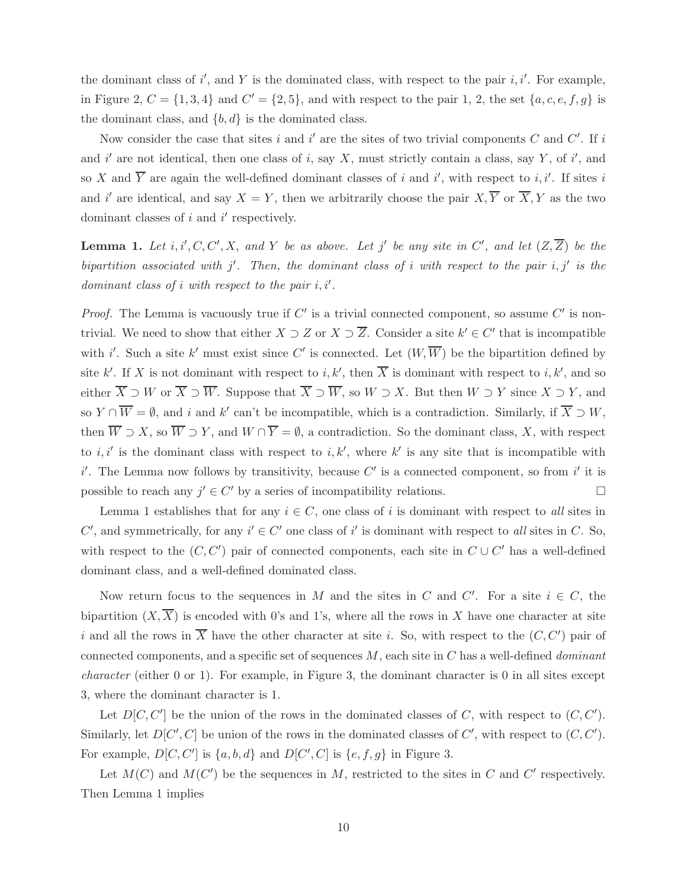the dominant class of  $i'$ , and Y is the dominated class, with respect to the pair  $i, i'$ . For example, in Figure 2,  $C = \{1, 3, 4\}$  and  $C' = \{2, 5\}$ , and with respect to the pair 1, 2, the set  $\{a, c, e, f, g\}$  is the dominant class, and  $\{b, d\}$  is the dominated class.

Now consider the case that sites i and i' are the sites of two trivial components C and C'. If i and i' are not identical, then one class of i, say X, must strictly contain a class, say Y, of i', and so X and  $\overline{Y}$  are again the well-defined dominant classes of i and i', with respect to i, i'. If sites i and i' are identical, and say  $X = Y$ , then we arbitrarily choose the pair  $X, \overline{Y}$  or  $\overline{X}, Y$  as the two dominant classes of  $i$  and  $i'$  respectively.

**Lemma 1.** Let i, i', C, C', X, and Y be as above. Let j' be any site in C', and let  $(Z,\overline{Z})$  be the bipartition associated with j'. Then, the dominant class of i with respect to the pair  $i, j'$  is the dominant class of  $i$  with respect to the pair  $i, i'$ .

*Proof.* The Lemma is vacuously true if  $C'$  is a trivial connected component, so assume  $C'$  is nontrivial. We need to show that either  $X \supset Z$  or  $X \supset \overline{Z}$ . Consider a site  $k' \in C'$  that is incompatible with i'. Such a site k' must exist since C' is connected. Let  $(W, \overline{W})$  be the bipartition defined by site k'. If X is not dominant with respect to i, k', then  $\overline{X}$  is dominant with respect to i, k', and so either  $\overline{X} \supset W$  or  $\overline{X} \supset \overline{W}$ . Suppose that  $\overline{X} \supset \overline{W}$ , so  $W \supset X$ . But then  $W \supset Y$  since  $X \supset Y$ , and so  $Y \cap \overline{W} = \emptyset$ , and i and k' can't be incompatible, which is a contradiction. Similarly, if  $\overline{X} \supset W$ , then  $\overline{W} \supset X$ , so  $\overline{W} \supset Y$ , and  $W \cap \overline{Y} = \emptyset$ , a contradiction. So the dominant class, X, with respect to i, i' is the dominant class with respect to i, k', where k' is any site that is incompatible with i'. The Lemma now follows by transitivity, because  $C'$  is a connected component, so from i' it is possible to reach any  $j' \in C'$  by a series of incompatibility relations.

Lemma 1 establishes that for any  $i \in C$ , one class of i is dominant with respect to all sites in C', and symmetrically, for any  $i' \in C'$  one class of i' is dominant with respect to all sites in C. So, with respect to the  $(C, C')$  pair of connected components, each site in  $C \cup C'$  has a well-defined dominant class, and a well-defined dominated class.

Now return focus to the sequences in M and the sites in C and C'. For a site  $i \in C$ , the bipartition  $(X,\overline{X})$  is encoded with 0's and 1's, where all the rows in X have one character at site i and all the rows in  $\overline{X}$  have the other character at site i. So, with respect to the  $(C, C')$  pair of connected components, and a specific set of sequences  $M$ , each site in  $C$  has a well-defined *dominant character* (either 0 or 1). For example, in Figure 3, the dominant character is 0 in all sites except 3, where the dominant character is 1.

Let  $D[C, C']$  be the union of the rows in the dominated classes of C, with respect to  $(C, C')$ . Similarly, let  $D[C', C]$  be union of the rows in the dominated classes of  $C'$ , with respect to  $(C, C')$ . For example,  $D[C, C']$  is  $\{a, b, d\}$  and  $D[C', C]$  is  $\{e, f, g\}$  in Figure 3.

Let  $M(C)$  and  $M(C')$  be the sequences in M, restricted to the sites in C and C' respectively. Then Lemma 1 implies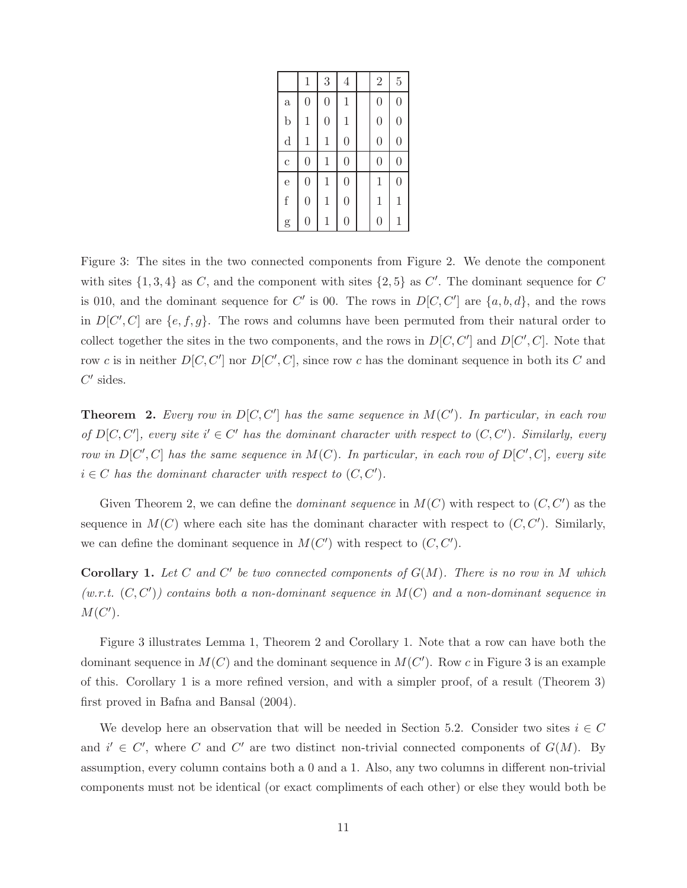|                    | $\mathbf 1$    | 3              | $\overline{4}$ | $\overline{2}$ | $\overline{5}$ |
|--------------------|----------------|----------------|----------------|----------------|----------------|
| $\mathbf{a}$       | $\overline{0}$ | $\overline{0}$ | $\mathbf{1}$   | $\overline{0}$ | $\overline{0}$ |
| $\mathbf b$        | $\mathbf 1$    | $\overline{0}$ | $\mathbf{1}$   | $\overline{0}$ | $\overline{0}$ |
| $\mathbf d$        | $\mathbf 1$    | $\mathbf 1$    | $\overline{0}$ | $\overline{0}$ | $\overline{0}$ |
| $\overline{\rm c}$ | $\overline{0}$ | $\mathbf 1$    | $\overline{0}$ | $\overline{0}$ | $\overline{0}$ |
| $\mathbf{e}$       | $\overline{0}$ | $\mathbf 1$    | $\overline{0}$ | $\mathbf{1}$   | $\overline{0}$ |
| $\rm f$            | $\overline{0}$ | $\mathbf 1$    | $\overline{0}$ | $\mathbf{1}$   | $\,1$          |
| g                  | $\overline{0}$ | $\mathbf 1$    | $\overline{0}$ | $\overline{0}$ | $\mathbf 1$    |

Figure 3: The sites in the two connected components from Figure 2. We denote the component with sites  $\{1,3,4\}$  as C, and the component with sites  $\{2,5\}$  as C'. The dominant sequence for C is 010, and the dominant sequence for C' is 00. The rows in  $D[C, C']$  are  $\{a, b, d\}$ , and the rows in  $D[C',C]$  are  $\{e,f,g\}$ . The rows and columns have been permuted from their natural order to collect together the sites in the two components, and the rows in  $D[C, C']$  and  $D[C', C]$ . Note that row c is in neither  $D[C, C']$  nor  $D[C', C]$ , since row c has the dominant sequence in both its C and  $C'$  sides.

**Theorem 2.** Every row in  $D[C, C']$  has the same sequence in  $M(C')$ . In particular, in each row of  $D[C, C']$ , every site  $i' \in C'$  has the dominant character with respect to  $(C, C')$ . Similarly, every row in  $D[C',C]$  has the same sequence in  $M(C)$ . In particular, in each row of  $D[C',C]$ , every site  $i \in C$  has the dominant character with respect to  $(C, C')$ .

Given Theorem 2, we can define the *dominant sequence* in  $M(C)$  with respect to  $(C, C')$  as the sequence in  $M(C)$  where each site has the dominant character with respect to  $(C, C')$ . Similarly, we can define the dominant sequence in  $M(C')$  with respect to  $(C, C')$ .

**Corollary 1.** Let C and C' be two connected components of  $G(M)$ . There is no row in M which  $(w.r.t. (C, C'))$  contains both a non-dominant sequence in  $M(C)$  and a non-dominant sequence in  $M(C^{\prime}).$ 

Figure 3 illustrates Lemma 1, Theorem 2 and Corollary 1. Note that a row can have both the dominant sequence in  $M(C)$  and the dominant sequence in  $M(C')$ . Row c in Figure 3 is an example of this. Corollary 1 is a more refined version, and with a simpler proof, of a result (Theorem 3) first proved in Bafna and Bansal (2004).

We develop here an observation that will be needed in Section 5.2. Consider two sites  $i \in C$ and  $i' \in C'$ , where C and C' are two distinct non-trivial connected components of  $G(M)$ . By assumption, every column contains both a 0 and a 1. Also, any two columns in different non-trivial components must not be identical (or exact compliments of each other) or else they would both be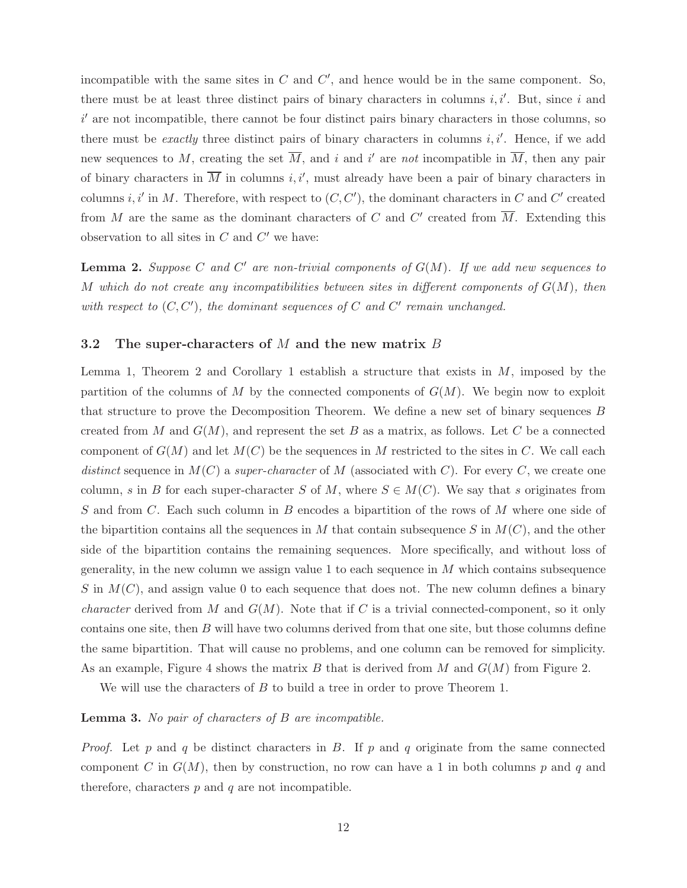incompatible with the same sites in  $C$  and  $C'$ , and hence would be in the same component. So, there must be at least three distinct pairs of binary characters in columns  $i, i'$ . But, since i and i' are not incompatible, there cannot be four distinct pairs binary characters in those columns, so there must be exactly three distinct pairs of binary characters in columns  $i, i'$ . Hence, if we add new sequences to M, creating the set  $\overline{M}$ , and i and i' are not incompatible in  $\overline{M}$ , then any pair of binary characters in  $\overline{M}$  in columns i, i', must already have been a pair of binary characters in columns i, i' in M. Therefore, with respect to  $(C, C')$ , the dominant characters in C and C' created from M are the same as the dominant characters of C and C' created from  $\overline{M}$ . Extending this observation to all sites in  $C$  and  $C'$  we have:

**Lemma 2.** Suppose C and C' are non-trivial components of  $G(M)$ . If we add new sequences to M which do not create any incompatibilities between sites in different components of  $G(M)$ , then with respect to  $(C, C')$ , the dominant sequences of C and C' remain unchanged.

## 3.2 The super-characters of  $M$  and the new matrix  $B$

Lemma 1, Theorem 2 and Corollary 1 establish a structure that exists in  $M$ , imposed by the partition of the columns of M by the connected components of  $G(M)$ . We begin now to exploit that structure to prove the Decomposition Theorem. We define a new set of binary sequences B created from M and  $G(M)$ , and represent the set B as a matrix, as follows. Let C be a connected component of  $G(M)$  and let  $M(C)$  be the sequences in M restricted to the sites in C. We call each distinct sequence in  $M(C)$  a super-character of M (associated with C). For every C, we create one column, s in B for each super-character S of M, where  $S \in M(C)$ . We say that s originates from S and from C. Each such column in B encodes a bipartition of the rows of M where one side of the bipartition contains all the sequences in M that contain subsequence S in  $M(C)$ , and the other side of the bipartition contains the remaining sequences. More specifically, and without loss of generality, in the new column we assign value 1 to each sequence in  $M$  which contains subsequence S in  $M(C)$ , and assign value 0 to each sequence that does not. The new column defines a binary *character* derived from M and  $G(M)$ . Note that if C is a trivial connected-component, so it only contains one site, then B will have two columns derived from that one site, but those columns define the same bipartition. That will cause no problems, and one column can be removed for simplicity. As an example, Figure 4 shows the matrix  $B$  that is derived from  $M$  and  $G(M)$  from Figure 2.

We will use the characters of B to build a tree in order to prove Theorem 1.

## Lemma 3. No pair of characters of B are incompatible.

*Proof.* Let p and q be distinct characters in B. If p and q originate from the same connected component C in  $G(M)$ , then by construction, no row can have a 1 in both columns p and q and therefore, characters  $p$  and  $q$  are not incompatible.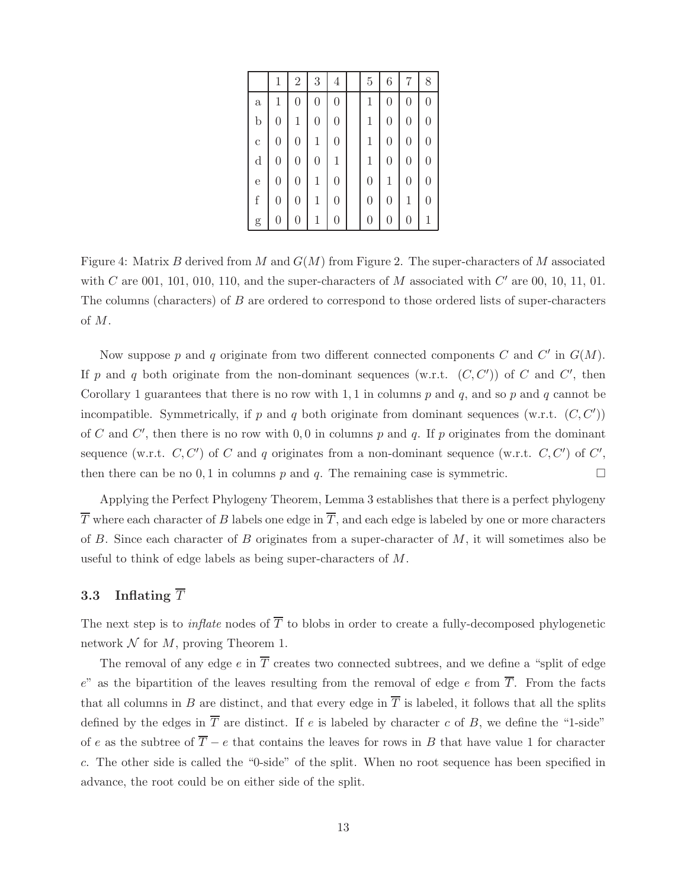|              | 1                | $\overline{2}$   | 3 | 4 | 5            | 6                |                | 8 |
|--------------|------------------|------------------|---|---|--------------|------------------|----------------|---|
| $\mathbf{a}$ | 1                | 0                | 0 | 0 | 1            | 0                | 0              | 0 |
| b            | 0                | 1                | 0 | U | $\mathbf{1}$ | $\boldsymbol{0}$ | 0              | 0 |
| $\mathbf c$  | 0                | 0                | 1 | 0 | $\mathbf{1}$ | 0                | 0              | 0 |
| d            | 0                | $\boldsymbol{0}$ | 0 | 1 | $\mathbf{1}$ | $\boldsymbol{0}$ | 0              | 0 |
| $\mathbf e$  | 0                | 0                | 1 | 0 | 0            | $\mathbf{1}$     | $\overline{0}$ |   |
| $\rm f$      | $\boldsymbol{0}$ | 0                | 1 | 0 | 0            | $\boldsymbol{0}$ | 1              |   |
| g            | 0                | 0                | 1 | 0 | 0            | 0                | 0              |   |

Figure 4: Matrix B derived from M and  $G(M)$  from Figure 2. The super-characters of M associated with C are 001, 101, 010, 110, and the super-characters of M associated with  $C'$  are 00, 10, 11, 01. The columns (characters) of B are ordered to correspond to those ordered lists of super-characters of M.

Now suppose p and q originate from two different connected components C and  $C'$  in  $G(M)$ . If p and q both originate from the non-dominant sequences (w.r.t.  $(C, C')$ ) of C and C', then Corollary 1 guarantees that there is no row with 1, 1 in columns  $p$  and  $q$ , and so  $p$  and  $q$  cannot be incompatible. Symmetrically, if p and q both originate from dominant sequences (w.r.t.  $(C, C')$ ) of C and C', then there is no row with  $0, 0$  in columns p and q. If p originates from the dominant sequence (w.r.t.  $C, C'$ ) of C and q originates from a non-dominant sequence (w.r.t.  $C, C'$ ) of  $C'$ , then there can be no 0, 1 in columns p and q. The remaining case is symmetric.

Applying the Perfect Phylogeny Theorem, Lemma 3 establishes that there is a perfect phylogeny  $\overline{T}$  where each character of B labels one edge in  $\overline{T}$ , and each edge is labeled by one or more characters of B. Since each character of B originates from a super-character of  $M$ , it will sometimes also be useful to think of edge labels as being super-characters of M.

# 3.3 Inflating  $\overline{T}$

The next step is to *inflate* nodes of  $\overline{T}$  to blobs in order to create a fully-decomposed phylogenetic network  $\mathcal N$  for  $M$ , proving Theorem 1.

The removal of any edge e in  $\overline{T}$  creates two connected subtrees, and we define a "split of edge"  $e^{\gamma}$  as the bipartition of the leaves resulting from the removal of edge e from  $\overline{T}$ . From the facts that all columns in B are distinct, and that every edge in  $\overline{T}$  is labeled, it follows that all the splits defined by the edges in  $\overline{T}$  are distinct. If e is labeled by character c of B, we define the "1-side" of e as the subtree of  $\overline{T} - e$  that contains the leaves for rows in B that have value 1 for character c. The other side is called the "0-side" of the split. When no root sequence has been specified in advance, the root could be on either side of the split.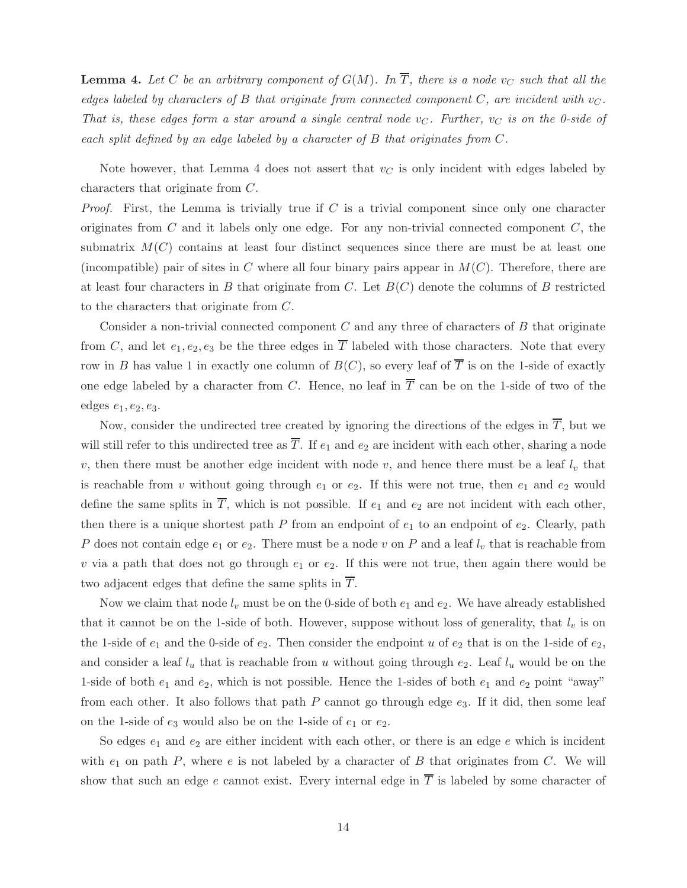**Lemma 4.** Let C be an arbitrary component of  $G(M)$ . In  $\overline{T}$ , there is a node  $v_C$  such that all the edges labeled by characters of B that originate from connected component  $C$ , are incident with  $v_C$ . That is, these edges form a star around a single central node  $v_C$ . Further,  $v_C$  is on the 0-side of each split defined by an edge labeled by a character of B that originates from C.

Note however, that Lemma 4 does not assert that  $v<sub>C</sub>$  is only incident with edges labeled by characters that originate from C.

*Proof.* First, the Lemma is trivially true if  $C$  is a trivial component since only one character originates from  $C$  and it labels only one edge. For any non-trivial connected component  $C$ , the submatrix  $M(C)$  contains at least four distinct sequences since there are must be at least one (incompatible) pair of sites in C where all four binary pairs appear in  $M(C)$ . Therefore, there are at least four characters in B that originate from C. Let  $B(C)$  denote the columns of B restricted to the characters that originate from C.

Consider a non-trivial connected component  $C$  and any three of characters of  $B$  that originate from C, and let  $e_1, e_2, e_3$  be the three edges in  $\overline{T}$  labeled with those characters. Note that every row in B has value 1 in exactly one column of  $B(C)$ , so every leaf of  $\overline{T}$  is on the 1-side of exactly one edge labeled by a character from C. Hence, no leaf in  $\overline{T}$  can be on the 1-side of two of the edges  $e_1, e_2, e_3$ .

Now, consider the undirected tree created by ignoring the directions of the edges in  $\overline{T}$ , but we will still refer to this undirected tree as  $\overline{T}$ . If  $e_1$  and  $e_2$  are incident with each other, sharing a node v, then there must be another edge incident with node v, and hence there must be a leaf  $l_v$  that is reachable from v without going through  $e_1$  or  $e_2$ . If this were not true, then  $e_1$  and  $e_2$  would define the same splits in  $\overline{T}$ , which is not possible. If  $e_1$  and  $e_2$  are not incident with each other, then there is a unique shortest path  $P$  from an endpoint of  $e_1$  to an endpoint of  $e_2$ . Clearly, path P does not contain edge  $e_1$  or  $e_2$ . There must be a node v on P and a leaf  $l_v$  that is reachable from  $v$  via a path that does not go through  $e_1$  or  $e_2$ . If this were not true, then again there would be two adjacent edges that define the same splits in T.

Now we claim that node  $l_v$  must be on the 0-side of both  $e_1$  and  $e_2$ . We have already established that it cannot be on the 1-side of both. However, suppose without loss of generality, that  $l_v$  is on the 1-side of  $e_1$  and the 0-side of  $e_2$ . Then consider the endpoint u of  $e_2$  that is on the 1-side of  $e_2$ , and consider a leaf  $l_u$  that is reachable from u without going through  $e_2$ . Leaf  $l_u$  would be on the 1-side of both  $e_1$  and  $e_2$ , which is not possible. Hence the 1-sides of both  $e_1$  and  $e_2$  point "away" from each other. It also follows that path  $P$  cannot go through edge  $e_3$ . If it did, then some leaf on the 1-side of  $e_3$  would also be on the 1-side of  $e_1$  or  $e_2$ .

So edges  $e_1$  and  $e_2$  are either incident with each other, or there is an edge e which is incident with  $e_1$  on path P, where e is not labeled by a character of B that originates from C. We will show that such an edge e cannot exist. Every internal edge in  $\overline{T}$  is labeled by some character of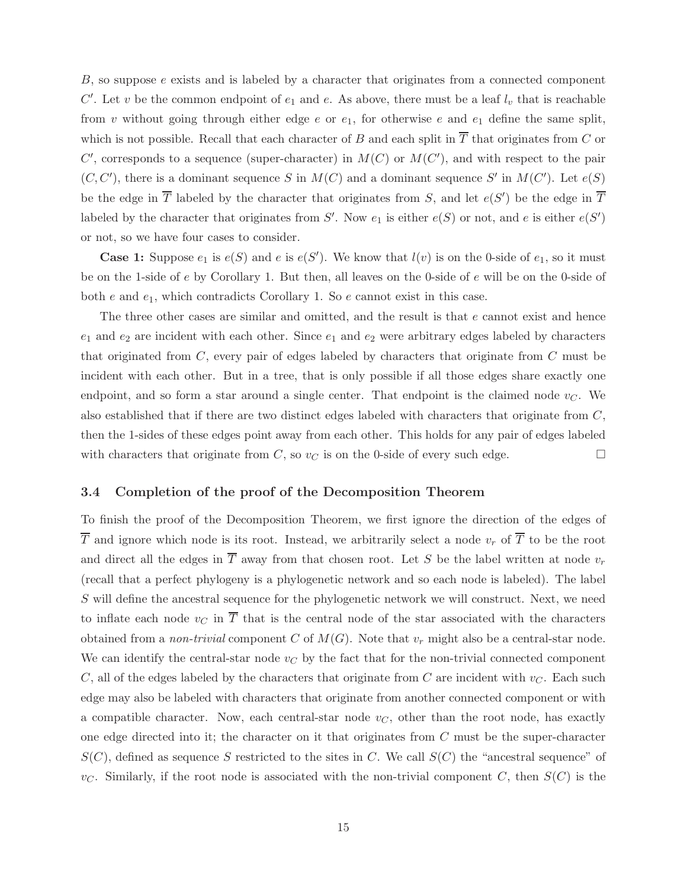$B$ , so suppose e exists and is labeled by a character that originates from a connected component C'. Let v be the common endpoint of  $e_1$  and  $e$ . As above, there must be a leaf  $l_v$  that is reachable from v without going through either edge  $e$  or  $e_1$ , for otherwise  $e$  and  $e_1$  define the same split, which is not possible. Recall that each character of B and each split in  $\overline{T}$  that originates from C or C', corresponds to a sequence (super-character) in  $M(C)$  or  $M(C')$ , and with respect to the pair  $(C, C')$ , there is a dominant sequence S in  $M(C)$  and a dominant sequence S' in  $M(C')$ . Let  $e(S)$ be the edge in  $\overline{T}$  labeled by the character that originates from S, and let  $e(S')$  be the edge in  $\overline{T}$ labeled by the character that originates from  $S'$ . Now  $e_1$  is either  $e(S)$  or not, and e is either  $e(S')$ or not, so we have four cases to consider.

**Case 1:** Suppose  $e_1$  is  $e(S)$  and  $e$  is  $e(S')$ . We know that  $l(v)$  is on the 0-side of  $e_1$ , so it must be on the 1-side of e by Corollary 1. But then, all leaves on the 0-side of e will be on the 0-side of both  $e$  and  $e_1$ , which contradicts Corollary 1. So  $e$  cannot exist in this case.

The three other cases are similar and omitted, and the result is that  $e$  cannot exist and hence  $e_1$  and  $e_2$  are incident with each other. Since  $e_1$  and  $e_2$  were arbitrary edges labeled by characters that originated from C, every pair of edges labeled by characters that originate from C must be incident with each other. But in a tree, that is only possible if all those edges share exactly one endpoint, and so form a star around a single center. That endpoint is the claimed node  $v<sub>C</sub>$ . We also established that if there are two distinct edges labeled with characters that originate from C, then the 1-sides of these edges point away from each other. This holds for any pair of edges labeled with characters that originate from C, so  $v<sub>C</sub>$  is on the 0-side of every such edge.

## 3.4 Completion of the proof of the Decomposition Theorem

To finish the proof of the Decomposition Theorem, we first ignore the direction of the edges of  $\overline{T}$  and ignore which node is its root. Instead, we arbitrarily select a node  $v_r$  of  $\overline{T}$  to be the root and direct all the edges in  $\overline{T}$  away from that chosen root. Let S be the label written at node  $v_r$ (recall that a perfect phylogeny is a phylogenetic network and so each node is labeled). The label S will define the ancestral sequence for the phylogenetic network we will construct. Next, we need to inflate each node  $v<sub>C</sub>$  in  $\overline{T}$  that is the central node of the star associated with the characters obtained from a non-trivial component C of  $M(G)$ . Note that  $v_r$  might also be a central-star node. We can identify the central-star node  $v<sub>C</sub>$  by the fact that for the non-trivial connected component C, all of the edges labeled by the characters that originate from C are incident with  $v<sub>C</sub>$ . Each such edge may also be labeled with characters that originate from another connected component or with a compatible character. Now, each central-star node  $v<sub>C</sub>$ , other than the root node, has exactly one edge directed into it; the character on it that originates from  $C$  must be the super-character  $S(C)$ , defined as sequence S restricted to the sites in C. We call  $S(C)$  the "ancestral sequence" of  $v<sub>C</sub>$ . Similarly, if the root node is associated with the non-trivial component C, then  $S(C)$  is the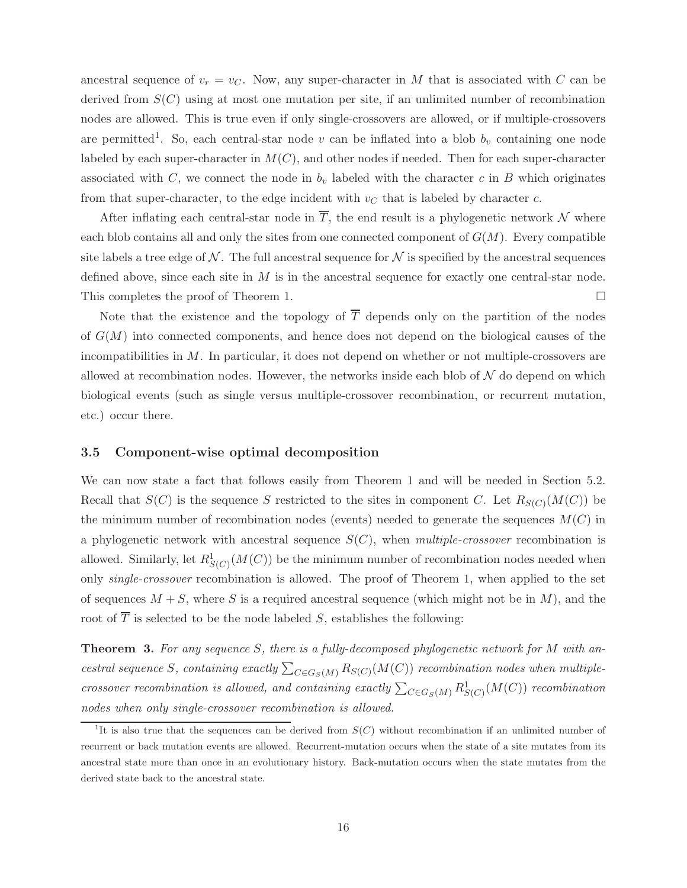ancestral sequence of  $v_r = v_C$ . Now, any super-character in M that is associated with C can be derived from  $S(C)$  using at most one mutation per site, if an unlimited number of recombination nodes are allowed. This is true even if only single-crossovers are allowed, or if multiple-crossovers are permitted<sup>1</sup>. So, each central-star node v can be inflated into a blob  $b_v$  containing one node labeled by each super-character in  $M(C)$ , and other nodes if needed. Then for each super-character associated with C, we connect the node in  $b_v$  labeled with the character c in B which originates from that super-character, to the edge incident with  $v<sub>C</sub>$  that is labeled by character c.

After inflating each central-star node in  $\overline{T}$ , the end result is a phylogenetic network N where each blob contains all and only the sites from one connected component of  $G(M)$ . Every compatible site labels a tree edge of  $N$ . The full ancestral sequence for  $N$  is specified by the ancestral sequences defined above, since each site in  $M$  is in the ancestral sequence for exactly one central-star node. This completes the proof of Theorem 1.

Note that the existence and the topology of  $\overline{T}$  depends only on the partition of the nodes of  $G(M)$  into connected components, and hence does not depend on the biological causes of the incompatibilities in M. In particular, it does not depend on whether or not multiple-crossovers are allowed at recombination nodes. However, the networks inside each blob of  $\mathcal N$  do depend on which biological events (such as single versus multiple-crossover recombination, or recurrent mutation, etc.) occur there.

## 3.5 Component-wise optimal decomposition

We can now state a fact that follows easily from Theorem 1 and will be needed in Section 5.2. Recall that  $S(C)$  is the sequence S restricted to the sites in component C. Let  $R_{S(C)}(M(C))$  be the minimum number of recombination nodes (events) needed to generate the sequences  $M(C)$  in a phylogenetic network with ancestral sequence  $S(C)$ , when *multiple-crossover* recombination is allowed. Similarly, let  $R_{S(C)}^1(M(C))$  be the minimum number of recombination nodes needed when only single-crossover recombination is allowed. The proof of Theorem 1, when applied to the set of sequences  $M + S$ , where S is a required ancestral sequence (which might not be in M), and the root of  $\overline{T}$  is selected to be the node labeled S, establishes the following:

**Theorem 3.** For any sequence S, there is a fully-decomposed phylogenetic network for M with ancestral sequence S, containing exactly  $\sum_{C \in G_S(M)} R_{S(C)}(M(C))$  recombination nodes when multiplecrossover recombination is allowed, and containing exactly  $\sum_{C \in G_S(M)} R^1_{S(C)}(M(C))$  recombination nodes when only single-crossover recombination is allowed.

<sup>&</sup>lt;sup>1</sup>It is also true that the sequences can be derived from  $S(C)$  without recombination if an unlimited number of recurrent or back mutation events are allowed. Recurrent-mutation occurs when the state of a site mutates from its ancestral state more than once in an evolutionary history. Back-mutation occurs when the state mutates from the derived state back to the ancestral state.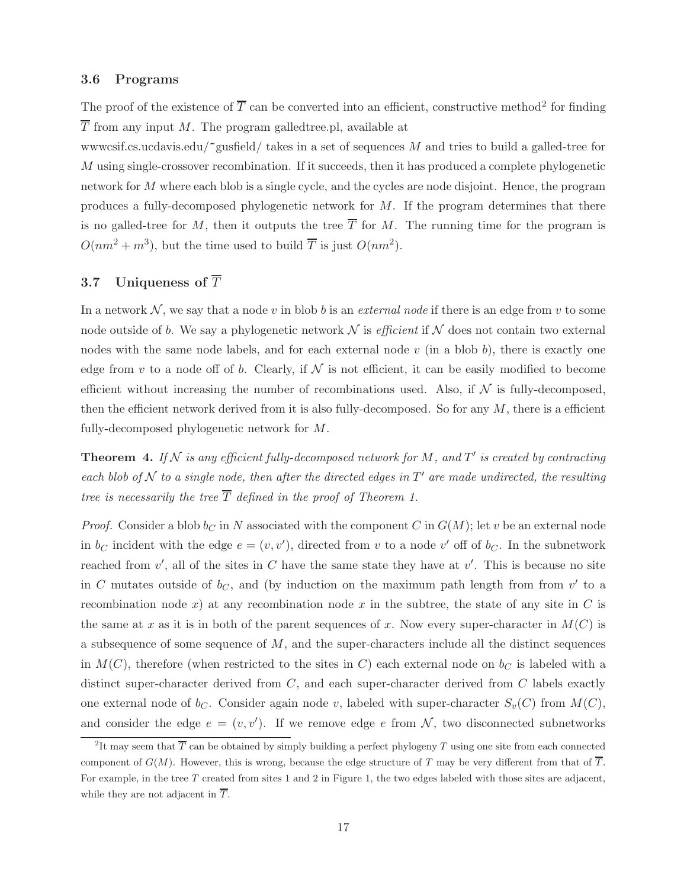## 3.6 Programs

The proof of the existence of  $\overline{T}$  can be converted into an efficient, constructive method<sup>2</sup> for finding  $\overline{T}$  from any input M. The program galledtree.pl, available at

www.csif.cs.ucdavis.edu/ $\epsilon$ gusfield/ takes in a set of sequences M and tries to build a galled-tree for M using single-crossover recombination. If it succeeds, then it has produced a complete phylogenetic network for M where each blob is a single cycle, and the cycles are node disjoint. Hence, the program produces a fully-decomposed phylogenetic network for M. If the program determines that there is no galled-tree for M, then it outputs the tree  $\overline{T}$  for M. The running time for the program is  $O(nm^2 + m^3)$ , but the time used to build  $\overline{T}$  is just  $O(nm^2)$ .

## 3.7 Uniqueness of  $\overline{T}$

In a network  $N$ , we say that a node v in blob b is an external node if there is an edge from v to some node outside of b. We say a phylogenetic network  $\mathcal N$  is *efficient* if  $\mathcal N$  does not contain two external nodes with the same node labels, and for each external node  $v$  (in a blob  $b$ ), there is exactly one edge from v to a node off of b. Clearly, if  $\mathcal N$  is not efficient, it can be easily modified to become efficient without increasing the number of recombinations used. Also, if  $\mathcal N$  is fully-decomposed, then the efficient network derived from it is also fully-decomposed. So for any  $M$ , there is a efficient fully-decomposed phylogenetic network for M.

**Theorem 4.** If N is any efficient fully-decomposed network for M, and T' is created by contracting each blob of  $N$  to a single node, then after the directed edges in  $T'$  are made undirected, the resulting tree is necessarily the tree  $\overline{T}$  defined in the proof of Theorem 1.

*Proof.* Consider a blob  $b<sub>C</sub>$  in N associated with the component C in  $G(M)$ ; let v be an external node in  $b<sub>C</sub>$  incident with the edge  $e = (v, v')$ , directed from v to a node v' off of  $b<sub>C</sub>$ . In the subnetwork reached from  $v'$ , all of the sites in C have the same state they have at  $v'$ . This is because no site in C mutates outside of  $b<sub>C</sub>$ , and (by induction on the maximum path length from from  $v'$  to a recombination node x) at any recombination node x in the subtree, the state of any site in  $C$  is the same at x as it is in both of the parent sequences of x. Now every super-character in  $M(C)$  is a subsequence of some sequence of  $M$ , and the super-characters include all the distinct sequences in  $M(C)$ , therefore (when restricted to the sites in C) each external node on  $b<sub>C</sub>$  is labeled with a distinct super-character derived from  $C$ , and each super-character derived from  $C$  labels exactly one external node of  $b_C$ . Consider again node v, labeled with super-character  $S_v(C)$  from  $M(C)$ , and consider the edge  $e = (v, v')$ . If we remove edge e from N, two disconnected subnetworks

<sup>&</sup>lt;sup>2</sup>It may seem that  $\overline{T}$  can be obtained by simply building a perfect phylogeny T using one site from each connected component of  $G(M)$ . However, this is wrong, because the edge structure of T may be very different from that of  $\overline{T}$ . For example, in the tree T created from sites 1 and 2 in Figure 1, the two edges labeled with those sites are adjacent, while they are not adjacent in  $\overline{T}$ .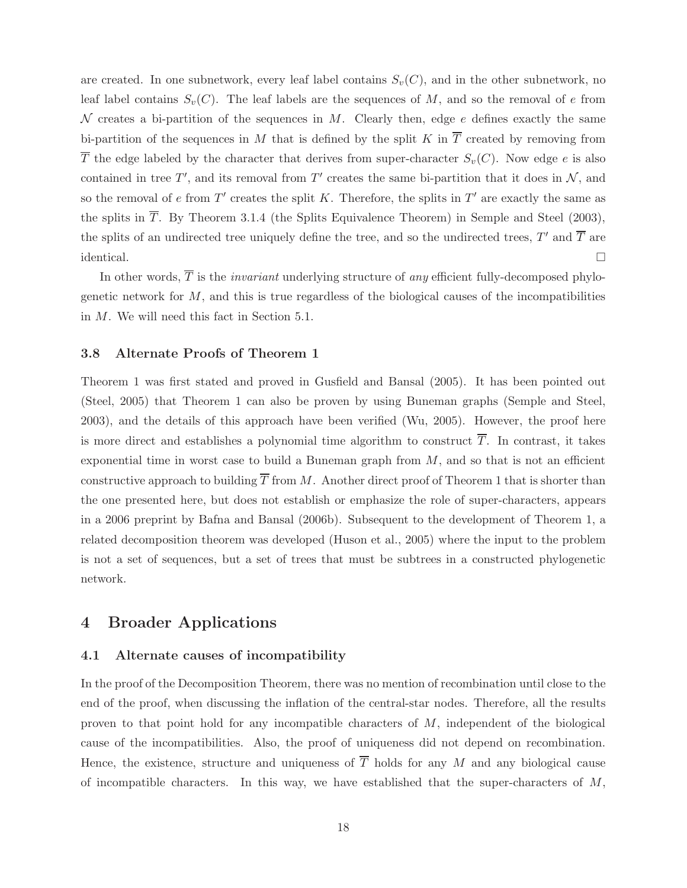are created. In one subnetwork, every leaf label contains  $S_v(C)$ , and in the other subnetwork, no leaf label contains  $S_n(C)$ . The leaf labels are the sequences of M, and so the removal of e from  $\mathcal N$  creates a bi-partition of the sequences in M. Clearly then, edge e defines exactly the same bi-partition of the sequences in M that is defined by the split K in  $\overline{T}$  created by removing from  $\overline{T}$  the edge labeled by the character that derives from super-character  $S_v(C)$ . Now edge e is also contained in tree T', and its removal from T' creates the same bi-partition that it does in  $\mathcal{N}$ , and so the removal of e from  $T'$  creates the split K. Therefore, the splits in  $T'$  are exactly the same as the splits in  $\overline{T}$ . By Theorem 3.1.4 (the Splits Equivalence Theorem) in Semple and Steel (2003), the splits of an undirected tree uniquely define the tree, and so the undirected trees,  $T'$  and  $\overline{T}$  are identical.

In other words,  $\overline{T}$  is the *invariant* underlying structure of *any* efficient fully-decomposed phylogenetic network for  $M$ , and this is true regardless of the biological causes of the incompatibilities in M. We will need this fact in Section 5.1.

## 3.8 Alternate Proofs of Theorem 1

Theorem 1 was first stated and proved in Gusfield and Bansal (2005). It has been pointed out (Steel, 2005) that Theorem 1 can also be proven by using Buneman graphs (Semple and Steel, 2003), and the details of this approach have been verified (Wu, 2005). However, the proof here is more direct and establishes a polynomial time algorithm to construct  $\overline{T}$ . In contrast, it takes exponential time in worst case to build a Buneman graph from  $M$ , and so that is not an efficient constructive approach to building  $\overline{T}$  from M. Another direct proof of Theorem 1 that is shorter than the one presented here, but does not establish or emphasize the role of super-characters, appears in a 2006 preprint by Bafna and Bansal (2006b). Subsequent to the development of Theorem 1, a related decomposition theorem was developed (Huson et al., 2005) where the input to the problem is not a set of sequences, but a set of trees that must be subtrees in a constructed phylogenetic network.

# 4 Broader Applications

## 4.1 Alternate causes of incompatibility

In the proof of the Decomposition Theorem, there was no mention of recombination until close to the end of the proof, when discussing the inflation of the central-star nodes. Therefore, all the results proven to that point hold for any incompatible characters of M, independent of the biological cause of the incompatibilities. Also, the proof of uniqueness did not depend on recombination. Hence, the existence, structure and uniqueness of  $\overline{T}$  holds for any M and any biological cause of incompatible characters. In this way, we have established that the super-characters of  $M$ ,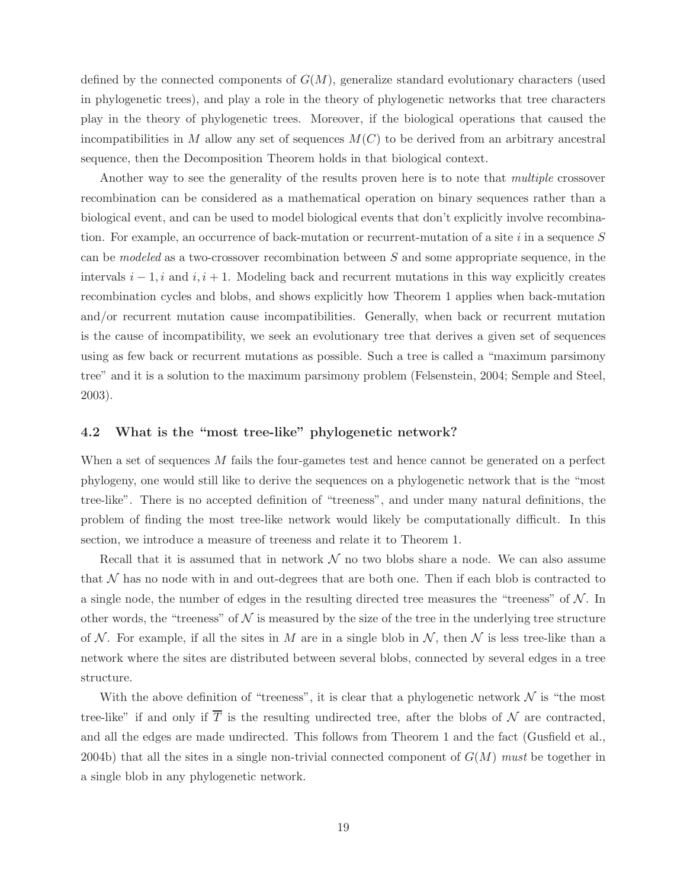defined by the connected components of  $G(M)$ , generalize standard evolutionary characters (used in phylogenetic trees), and play a role in the theory of phylogenetic networks that tree characters play in the theory of phylogenetic trees. Moreover, if the biological operations that caused the incompatibilities in M allow any set of sequences  $M(C)$  to be derived from an arbitrary ancestral sequence, then the Decomposition Theorem holds in that biological context.

Another way to see the generality of the results proven here is to note that *multiple* crossover recombination can be considered as a mathematical operation on binary sequences rather than a biological event, and can be used to model biological events that don't explicitly involve recombination. For example, an occurrence of back-mutation or recurrent-mutation of a site  $i$  in a sequence  $S$ can be modeled as a two-crossover recombination between S and some appropriate sequence, in the intervals  $i - 1$ , i and  $i, i + 1$ . Modeling back and recurrent mutations in this way explicitly creates recombination cycles and blobs, and shows explicitly how Theorem 1 applies when back-mutation and/or recurrent mutation cause incompatibilities. Generally, when back or recurrent mutation is the cause of incompatibility, we seek an evolutionary tree that derives a given set of sequences using as few back or recurrent mutations as possible. Such a tree is called a "maximum parsimony tree" and it is a solution to the maximum parsimony problem (Felsenstein, 2004; Semple and Steel, 2003).

## 4.2 What is the "most tree-like" phylogenetic network?

When a set of sequences M fails the four-gametes test and hence cannot be generated on a perfect phylogeny, one would still like to derive the sequences on a phylogenetic network that is the "most tree-like". There is no accepted definition of "treeness", and under many natural definitions, the problem of finding the most tree-like network would likely be computationally difficult. In this section, we introduce a measure of treeness and relate it to Theorem 1.

Recall that it is assumed that in network  $\mathcal N$  no two blobs share a node. We can also assume that  $\mathcal N$  has no node with in and out-degrees that are both one. Then if each blob is contracted to a single node, the number of edges in the resulting directed tree measures the "treeness" of  $N$ . In other words, the "treeness" of  $N$  is measured by the size of the tree in the underlying tree structure of N. For example, if all the sites in M are in a single blob in N, then N is less tree-like than a network where the sites are distributed between several blobs, connected by several edges in a tree structure.

With the above definition of "treeness", it is clear that a phylogenetic network  $\mathcal N$  is "the most tree-like" if and only if  $\overline{T}$  is the resulting undirected tree, after the blobs of N are contracted, and all the edges are made undirected. This follows from Theorem 1 and the fact (Gusfield et al., 2004b) that all the sites in a single non-trivial connected component of  $G(M)$  must be together in a single blob in any phylogenetic network.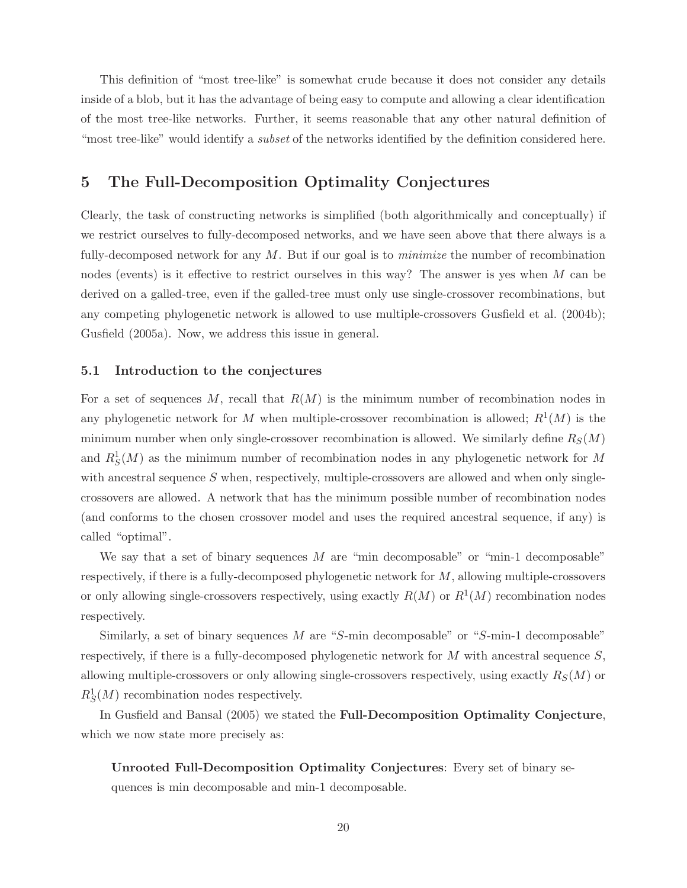This definition of "most tree-like" is somewhat crude because it does not consider any details inside of a blob, but it has the advantage of being easy to compute and allowing a clear identification of the most tree-like networks. Further, it seems reasonable that any other natural definition of "most tree-like" would identify a *subset* of the networks identified by the definition considered here.

# 5 The Full-Decomposition Optimality Conjectures

Clearly, the task of constructing networks is simplified (both algorithmically and conceptually) if we restrict ourselves to fully-decomposed networks, and we have seen above that there always is a fully-decomposed network for any  $M$ . But if our goal is to *minimize* the number of recombination nodes (events) is it effective to restrict ourselves in this way? The answer is yes when M can be derived on a galled-tree, even if the galled-tree must only use single-crossover recombinations, but any competing phylogenetic network is allowed to use multiple-crossovers Gusfield et al. (2004b); Gusfield (2005a). Now, we address this issue in general.

## 5.1 Introduction to the conjectures

For a set of sequences M, recall that  $R(M)$  is the minimum number of recombination nodes in any phylogenetic network for M when multiple-crossover recombination is allowed;  $R^1(M)$  is the minimum number when only single-crossover recombination is allowed. We similarly define  $R_S(M)$ and  $R_S^1(M)$  as the minimum number of recombination nodes in any phylogenetic network for M with ancestral sequence  $S$  when, respectively, multiple-crossovers are allowed and when only singlecrossovers are allowed. A network that has the minimum possible number of recombination nodes (and conforms to the chosen crossover model and uses the required ancestral sequence, if any) is called "optimal".

We say that a set of binary sequences  $M$  are "min decomposable" or "min-1 decomposable" respectively, if there is a fully-decomposed phylogenetic network for M, allowing multiple-crossovers or only allowing single-crossovers respectively, using exactly  $R(M)$  or  $R^1(M)$  recombination nodes respectively.

Similarly, a set of binary sequences  $M$  are "S-min decomposable" or "S-min-1 decomposable" respectively, if there is a fully-decomposed phylogenetic network for  $M$  with ancestral sequence  $S$ , allowing multiple-crossovers or only allowing single-crossovers respectively, using exactly  $R<sub>S</sub>(M)$  or  $R_S^1(M)$  recombination nodes respectively.

In Gusfield and Bansal (2005) we stated the Full-Decomposition Optimality Conjecture, which we now state more precisely as:

Unrooted Full-Decomposition Optimality Conjectures: Every set of binary sequences is min decomposable and min-1 decomposable.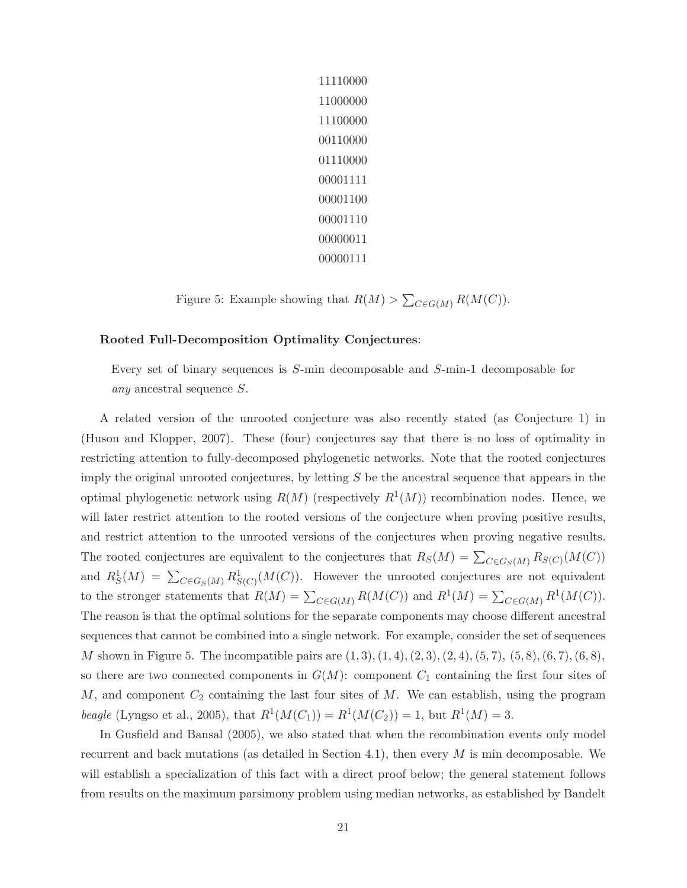| 11110000 |
|----------|
| 11000000 |
| 11100000 |
| 00110000 |
| 01110000 |
| 00001111 |
| 00001100 |
| 00001110 |
| 00000011 |
| 00000111 |

Figure 5: Example showing that  $R(M) > \sum_{C \in G(M)} R(M(C)).$ 

#### Rooted Full-Decomposition Optimality Conjectures:

Every set of binary sequences is S-min decomposable and S-min-1 decomposable for any ancestral sequence S.

A related version of the unrooted conjecture was also recently stated (as Conjecture 1) in (Huson and Klopper, 2007). These (four) conjectures say that there is no loss of optimality in restricting attention to fully-decomposed phylogenetic networks. Note that the rooted conjectures imply the original unrooted conjectures, by letting  $S$  be the ancestral sequence that appears in the optimal phylogenetic network using  $R(M)$  (respectively  $R^1(M)$ ) recombination nodes. Hence, we will later restrict attention to the rooted versions of the conjecture when proving positive results, and restrict attention to the unrooted versions of the conjectures when proving negative results. The rooted conjectures are equivalent to the conjectures that  $R_S(M) = \sum_{C \in G_S(M)} R_{S(C)}(M(C))$ and  $R_S^1(M) = \sum_{C \in G_S(M)} R_{S(C)}^1(M(C))$ . However the unrooted conjectures are not equivalent to the stronger statements that  $R(M) = \sum_{C \in G(M)} R(M(C))$  and  $R^1(M) = \sum_{C \in G(M)} R^1(M(C)).$ The reason is that the optimal solutions for the separate components may choose different ancestral sequences that cannot be combined into a single network. For example, consider the set of sequences M shown in Figure 5. The incompatible pairs are  $(1, 3), (1, 4), (2, 3), (2, 4), (5, 7), (5, 8), (6, 7), (6, 8)$ so there are two connected components in  $G(M)$ : component  $C_1$  containing the first four sites of M, and component  $C_2$  containing the last four sites of M. We can establish, using the program beagle (Lyngso et al., 2005), that  $R^1(M(C_1)) = R^1(M(C_2)) = 1$ , but  $R^1(M) = 3$ .

In Gusfield and Bansal (2005), we also stated that when the recombination events only model recurrent and back mutations (as detailed in Section 4.1), then every  $M$  is min decomposable. We will establish a specialization of this fact with a direct proof below; the general statement follows from results on the maximum parsimony problem using median networks, as established by Bandelt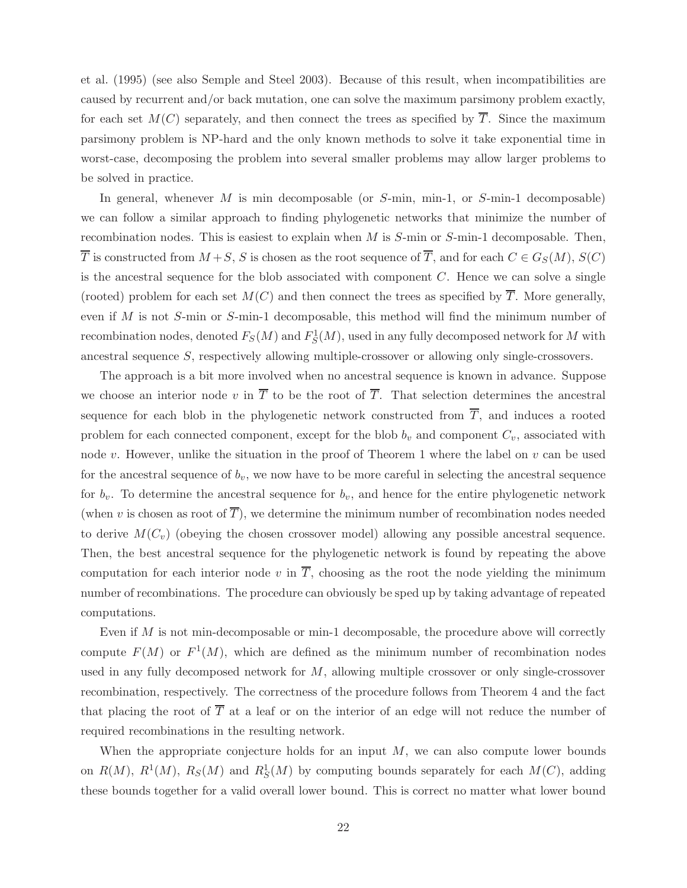et al. (1995) (see also Semple and Steel 2003). Because of this result, when incompatibilities are caused by recurrent and/or back mutation, one can solve the maximum parsimony problem exactly, for each set  $M(C)$  separately, and then connect the trees as specified by  $\overline{T}$ . Since the maximum parsimony problem is NP-hard and the only known methods to solve it take exponential time in worst-case, decomposing the problem into several smaller problems may allow larger problems to be solved in practice.

In general, whenever  $M$  is min decomposable (or  $S$ -min, min-1, or  $S$ -min-1 decomposable) we can follow a similar approach to finding phylogenetic networks that minimize the number of recombination nodes. This is easiest to explain when  $M$  is  $S$ -min or  $S$ -min-1 decomposable. Then,  $\overline{T}$  is constructed from  $M + S$ , S is chosen as the root sequence of  $\overline{T}$ , and for each  $C \in G<sub>S</sub>(M)$ ,  $S(C)$ is the ancestral sequence for the blob associated with component  $C$ . Hence we can solve a single (rooted) problem for each set  $M(C)$  and then connect the trees as specified by  $\overline{T}$ . More generally, even if M is not S-min or S-min-1 decomposable, this method will find the minimum number of recombination nodes, denoted  $F_S(M)$  and  $F_S^1(M)$ , used in any fully decomposed network for M with ancestral sequence S, respectively allowing multiple-crossover or allowing only single-crossovers.

The approach is a bit more involved when no ancestral sequence is known in advance. Suppose we choose an interior node v in  $\overline{T}$  to be the root of  $\overline{T}$ . That selection determines the ancestral sequence for each blob in the phylogenetic network constructed from  $\overline{T}$ , and induces a rooted problem for each connected component, except for the blob  $b_v$  and component  $C_v$ , associated with node v. However, unlike the situation in the proof of Theorem 1 where the label on  $v$  can be used for the ancestral sequence of  $b_v$ , we now have to be more careful in selecting the ancestral sequence for  $b_v$ . To determine the ancestral sequence for  $b_v$ , and hence for the entire phylogenetic network (when v is chosen as root of  $\overline{T}$ ), we determine the minimum number of recombination nodes needed to derive  $M(C_v)$  (obeying the chosen crossover model) allowing any possible ancestral sequence. Then, the best ancestral sequence for the phylogenetic network is found by repeating the above computation for each interior node v in  $\overline{T}$ , choosing as the root the node yielding the minimum number of recombinations. The procedure can obviously be sped up by taking advantage of repeated computations.

Even if  $M$  is not min-decomposable or min-1 decomposable, the procedure above will correctly compute  $F(M)$  or  $F^1(M)$ , which are defined as the minimum number of recombination nodes used in any fully decomposed network for  $M$ , allowing multiple crossover or only single-crossover recombination, respectively. The correctness of the procedure follows from Theorem 4 and the fact that placing the root of  $\overline{T}$  at a leaf or on the interior of an edge will not reduce the number of required recombinations in the resulting network.

When the appropriate conjecture holds for an input  $M$ , we can also compute lower bounds on  $R(M)$ ,  $R^1(M)$ ,  $R_S(M)$  and  $R^1_S(M)$  by computing bounds separately for each  $M(C)$ , adding these bounds together for a valid overall lower bound. This is correct no matter what lower bound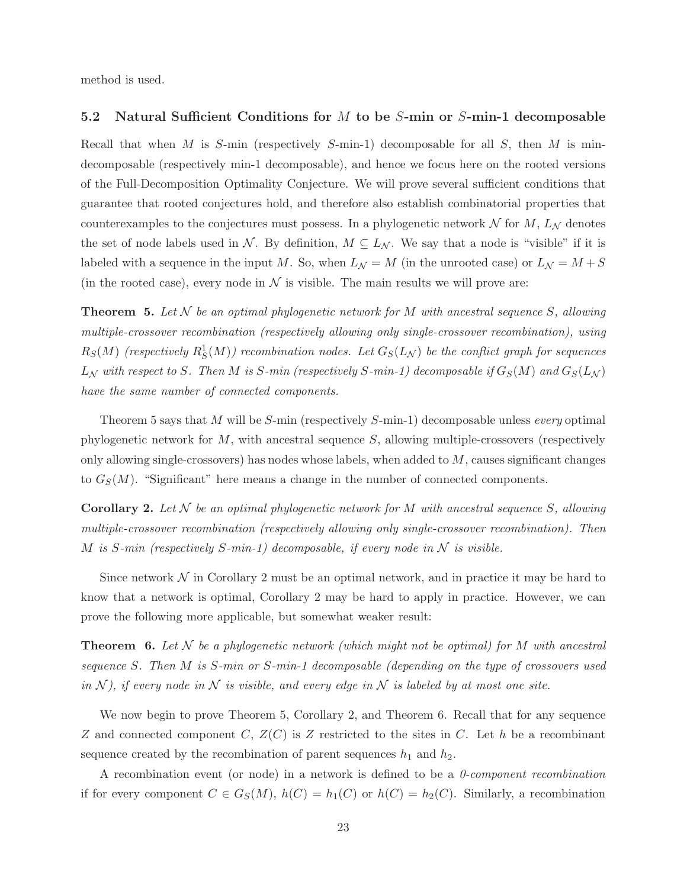method is used.

## 5.2 Natural Sufficient Conditions for M to be S-min or S-min-1 decomposable

Recall that when M is  $S$ -min (respectively  $S$ -min-1) decomposable for all  $S$ , then M is mindecomposable (respectively min-1 decomposable), and hence we focus here on the rooted versions of the Full-Decomposition Optimality Conjecture. We will prove several sufficient conditions that guarantee that rooted conjectures hold, and therefore also establish combinatorial properties that counterexamples to the conjectures must possess. In a phylogenetic network  $\mathcal N$  for  $M$ ,  $L_{\mathcal N}$  denotes the set of node labels used in N. By definition,  $M \subseteq L_N$ . We say that a node is "visible" if it is labeled with a sequence in the input M. So, when  $L_N = M$  (in the unrooted case) or  $L_N = M + S$ (in the rooted case), every node in  $\mathcal N$  is visible. The main results we will prove are:

**Theorem 5.** Let  $N$  be an optimal phylogenetic network for  $M$  with ancestral sequence  $S$ , allowing multiple-crossover recombination (respectively allowing only single-crossover recombination), using  $R_S(M)$  (respectively  $R_S^1(M)$ ) recombination nodes. Let  $G_S(L_{\mathcal{N}})$  be the conflict graph for sequences  $L_N$  with respect to S. Then M is S-min (respectively S-min-1) decomposable if  $G_S(M)$  and  $G_S(L_N)$ have the same number of connected components.

Theorem 5 says that M will be S-min (respectively S-min-1) decomposable unless *every* optimal phylogenetic network for  $M$ , with ancestral sequence  $S$ , allowing multiple-crossovers (respectively only allowing single-crossovers) has nodes whose labels, when added to  $M$ , causes significant changes to  $G<sub>S</sub>(M)$ . "Significant" here means a change in the number of connected components.

**Corollary 2.** Let N be an optimal phylogenetic network for M with ancestral sequence S, allowing multiple-crossover recombination (respectively allowing only single-crossover recombination). Then M is S-min (respectively S-min-1) decomposable, if every node in  $N$  is visible.

Since network  $\mathcal N$  in Corollary 2 must be an optimal network, and in practice it may be hard to know that a network is optimal, Corollary 2 may be hard to apply in practice. However, we can prove the following more applicable, but somewhat weaker result:

**Theorem 6.** Let N be a phylogenetic network (which might not be optimal) for M with ancestral sequence S. Then M is S-min or S-min-1 decomposable (depending on the type of crossovers used in N), if every node in N is visible, and every edge in N is labeled by at most one site.

We now begin to prove Theorem 5, Corollary 2, and Theorem 6. Recall that for any sequence Z and connected component C,  $Z(C)$  is Z restricted to the sites in C. Let h be a recombinant sequence created by the recombination of parent sequences  $h_1$  and  $h_2$ .

A recombination event (or node) in a network is defined to be a  $\theta$ -component recombination if for every component  $C \in G_S(M)$ ,  $h(C) = h_1(C)$  or  $h(C) = h_2(C)$ . Similarly, a recombination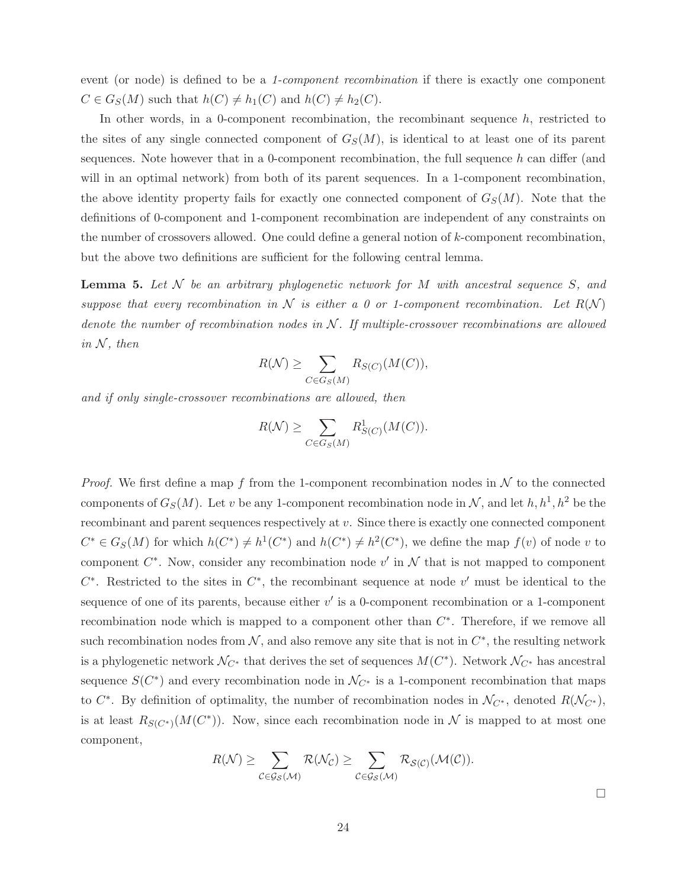event (or node) is defined to be a 1-component recombination if there is exactly one component  $C \in G<sub>S</sub>(M)$  such that  $h(C) \neq h<sub>1</sub>(C)$  and  $h(C) \neq h<sub>2</sub>(C)$ .

In other words, in a 0-component recombination, the recombinant sequence  $h$ , restricted to the sites of any single connected component of  $G<sub>S</sub>(M)$ , is identical to at least one of its parent sequences. Note however that in a 0-component recombination, the full sequence h can differ (and will in an optimal network) from both of its parent sequences. In a 1-component recombination, the above identity property fails for exactly one connected component of  $G<sub>S</sub>(M)$ . Note that the definitions of 0-component and 1-component recombination are independent of any constraints on the number of crossovers allowed. One could define a general notion of k-component recombination, but the above two definitions are sufficient for the following central lemma.

**Lemma 5.** Let  $N$  be an arbitrary phylogenetic network for  $M$  with ancestral sequence  $S$ , and suppose that every recombination in N is either a 0 or 1-component recombination. Let  $R(N)$ denote the number of recombination nodes in  $N$ . If multiple-crossover recombinations are allowed in  $N$ , then

$$
R(\mathcal{N}) \ge \sum_{C \in G_S(M)} R_{S(C)}(M(C)),
$$

and if only single-crossover recombinations are allowed, then

$$
R(\mathcal{N}) \ge \sum_{C \in G_S(M)} R^1_{S(C)}(M(C)).
$$

*Proof.* We first define a map f from the 1-component recombination nodes in  $N$  to the connected components of  $G_S(M)$ . Let v be any 1-component recombination node in N, and let  $h, h^1, h^2$  be the recombinant and parent sequences respectively at v. Since there is exactly one connected component  $C^* \in G_S(M)$  for which  $h(C^*) \neq h^1(C^*)$  and  $h(C^*) \neq h^2(C^*)$ , we define the map  $f(v)$  of node v to component  $C^*$ . Now, consider any recombination node  $v'$  in  $\mathcal N$  that is not mapped to component  $C^*$ . Restricted to the sites in  $C^*$ , the recombinant sequence at node v' must be identical to the sequence of one of its parents, because either  $v'$  is a 0-component recombination or a 1-component recombination node which is mapped to a component other than  $C^*$ . Therefore, if we remove all such recombination nodes from  $\mathcal{N}$ , and also remove any site that is not in  $C^*$ , the resulting network is a phylogenetic network  $\mathcal{N}_{C^*}$  that derives the set of sequences  $M(C^*)$ . Network  $\mathcal{N}_{C^*}$  has ancestral sequence  $S(C^*)$  and every recombination node in  $\mathcal{N}_{C^*}$  is a 1-component recombination that maps to  $C^*$ . By definition of optimality, the number of recombination nodes in  $\mathcal{N}_{C^*}$ , denoted  $R(\mathcal{N}_{C^*})$ , is at least  $R_{S(C^*)}(M(C^*))$ . Now, since each recombination node in N is mapped to at most one component,

$$
R(\mathcal{N}) \geq \sum_{\mathcal{C} \in \mathcal{G}_{\mathcal{S}}(\mathcal{M})} \mathcal{R}(\mathcal{N}_{\mathcal{C}}) \geq \sum_{\mathcal{C} \in \mathcal{G}_{\mathcal{S}}(\mathcal{M})} \mathcal{R}_{\mathcal{S}(\mathcal{C})}(\mathcal{M}(\mathcal{C})).
$$

 $\Box$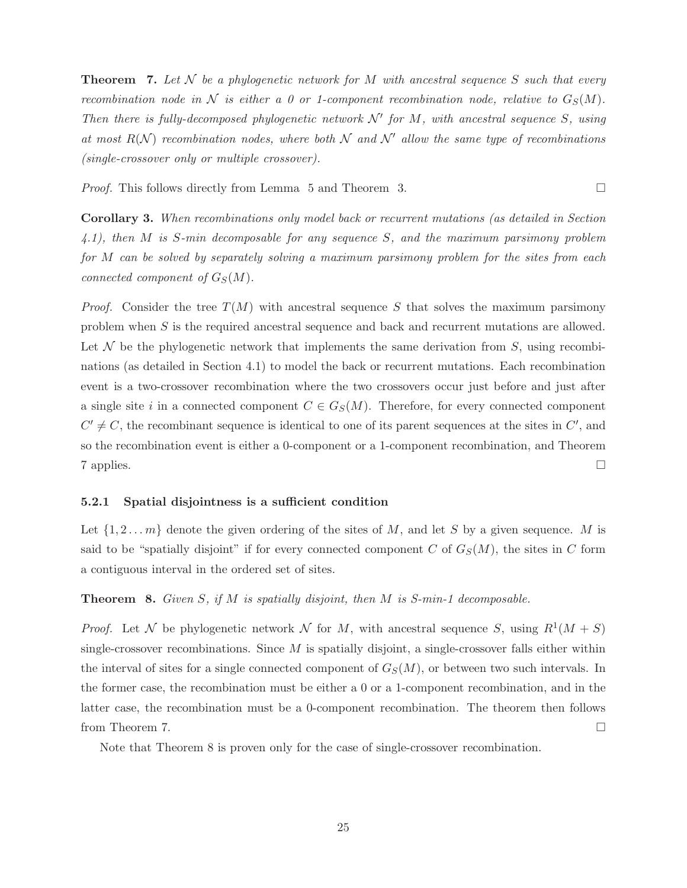**Theorem 7.** Let  $N$  be a phylogenetic network for  $M$  with ancestral sequence  $S$  such that every recombination node in N is either a 0 or 1-component recombination node, relative to  $G_S(M)$ . Then there is fully-decomposed phylogenetic network  $\mathcal{N}'$  for  $M$ , with ancestral sequence  $S$ , using at most  $R(N)$  recombination nodes, where both N and N' allow the same type of recombinations (single-crossover only or multiple crossover).

*Proof.* This follows directly from Lemma 5 and Theorem 3.

Corollary 3. When recombinations only model back or recurrent mutations (as detailed in Section 4.1), then M is S-min decomposable for any sequence S, and the maximum parsimony problem for M can be solved by separately solving a maximum parsimony problem for the sites from each connected component of  $G_S(M)$ .

*Proof.* Consider the tree  $T(M)$  with ancestral sequence S that solves the maximum parsimony problem when S is the required ancestral sequence and back and recurrent mutations are allowed. Let  $\mathcal N$  be the phylogenetic network that implements the same derivation from  $S$ , using recombinations (as detailed in Section 4.1) to model the back or recurrent mutations. Each recombination event is a two-crossover recombination where the two crossovers occur just before and just after a single site i in a connected component  $C \in G<sub>S</sub>(M)$ . Therefore, for every connected component  $C' \neq C$ , the recombinant sequence is identical to one of its parent sequences at the sites in  $C'$ , and so the recombination event is either a 0-component or a 1-component recombination, and Theorem  $7$  applies.

#### 5.2.1 Spatial disjointness is a sufficient condition

Let  $\{1, 2, \ldots m\}$  denote the given ordering of the sites of M, and let S by a given sequence. M is said to be "spatially disjoint" if for every connected component C of  $G<sub>S</sub>(M)$ , the sites in C form a contiguous interval in the ordered set of sites.

## **Theorem 8.** Given S, if M is spatially disjoint, then M is  $S$ -min-1 decomposable.

*Proof.* Let N be phylogenetic network N for M, with ancestral sequence S, using  $R^1(M+S)$ single-crossover recombinations. Since  $M$  is spatially disjoint, a single-crossover falls either within the interval of sites for a single connected component of  $G<sub>S</sub>(M)$ , or between two such intervals. In the former case, the recombination must be either a 0 or a 1-component recombination, and in the latter case, the recombination must be a 0-component recombination. The theorem then follows from Theorem 7.

Note that Theorem 8 is proven only for the case of single-crossover recombination.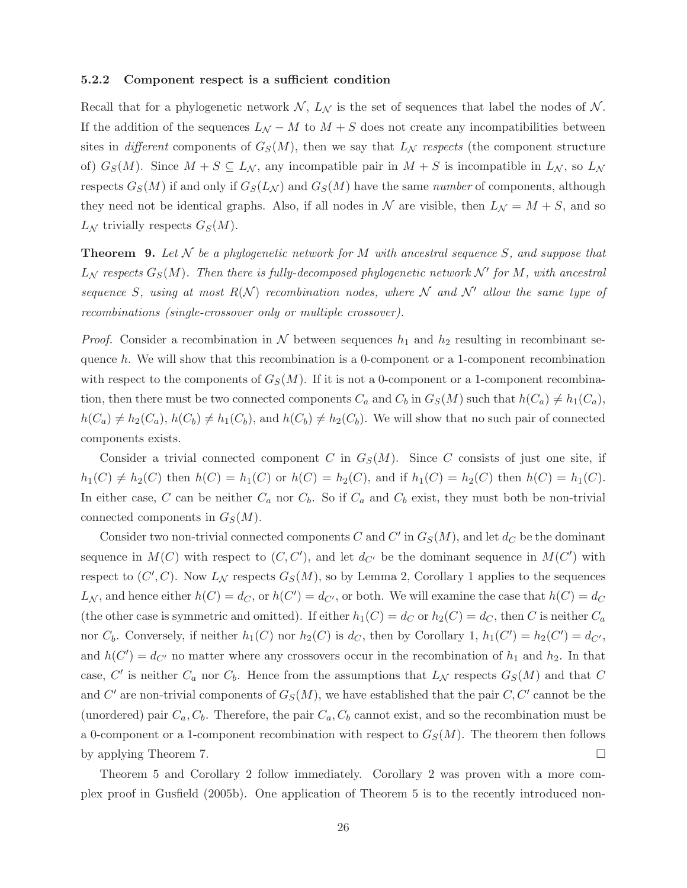## 5.2.2 Component respect is a sufficient condition

Recall that for a phylogenetic network  $\mathcal{N}, L_{\mathcal{N}}$  is the set of sequences that label the nodes of  $\mathcal{N}$ . If the addition of the sequences  $L<sub>N</sub> - M$  to  $M + S$  does not create any incompatibilities between sites in different components of  $G<sub>S</sub>(M)$ , then we say that  $L<sub>N</sub>$  respects (the component structure of)  $G_S(M)$ . Since  $M + S \subseteq L_N$ , any incompatible pair in  $M + S$  is incompatible in  $L_N$ , so  $L_N$ respects  $G_S(M)$  if and only if  $G_S(L_N)$  and  $G_S(M)$  have the same number of components, although they need not be identical graphs. Also, if all nodes in  $\mathcal N$  are visible, then  $L_{\mathcal N} = M + S$ , and so  $L<sub>N</sub>$  trivially respects  $G<sub>S</sub>(M)$ .

**Theorem 9.** Let  $N$  be a phylogenetic network for  $M$  with ancestral sequence  $S$ , and suppose that  $L_N$  respects  $G_S(M)$ . Then there is fully-decomposed phylogenetic network  $\mathcal{N}'$  for  $M$ , with ancestral sequence S, using at most  $R(N)$  recombination nodes, where N and N' allow the same type of recombinations (single-crossover only or multiple crossover).

*Proof.* Consider a recombination in  $N$  between sequences  $h_1$  and  $h_2$  resulting in recombinant sequence h. We will show that this recombination is a 0-component or a 1-component recombination with respect to the components of  $G<sub>S</sub>(M)$ . If it is not a 0-component or a 1-component recombination, then there must be two connected components  $C_a$  and  $C_b$  in  $G_S(M)$  such that  $h(C_a) \neq h_1(C_a)$ ,  $h(C_a) \neq h_2(C_a)$ ,  $h(C_b) \neq h_1(C_b)$ , and  $h(C_b) \neq h_2(C_b)$ . We will show that no such pair of connected components exists.

Consider a trivial connected component C in  $G<sub>S</sub>(M)$ . Since C consists of just one site, if  $h_1(C) \neq h_2(C)$  then  $h(C) = h_1(C)$  or  $h(C) = h_2(C)$ , and if  $h_1(C) = h_2(C)$  then  $h(C) = h_1(C)$ . In either case, C can be neither  $C_a$  nor  $C_b$ . So if  $C_a$  and  $C_b$  exist, they must both be non-trivial connected components in  $G<sub>S</sub>(M)$ .

Consider two non-trivial connected components C and  $C'$  in  $G<sub>S</sub>(M)$ , and let  $d<sub>C</sub>$  be the dominant sequence in  $M(C)$  with respect to  $(C, C')$ , and let  $d_{C'}$  be the dominant sequence in  $M(C')$  with respect to  $(C', C)$ . Now  $L<sub>N</sub>$  respects  $G<sub>S</sub>(M)$ , so by Lemma 2, Corollary 1 applies to the sequences  $L_N$ , and hence either  $h(C) = d_C$ , or  $h(C') = d_{C'}$ , or both. We will examine the case that  $h(C) = d_C$ (the other case is symmetric and omitted). If either  $h_1(C) = d_C$  or  $h_2(C) = d_C$ , then C is neither  $C_a$ nor  $C_b$ . Conversely, if neither  $h_1(C)$  nor  $h_2(C)$  is  $d_C$ , then by Corollary 1,  $h_1(C') = h_2(C') = d_{C'}$ , and  $h(C') = d_{C'}$  no matter where any crossovers occur in the recombination of  $h_1$  and  $h_2$ . In that case, C' is neither  $C_a$  nor  $C_b$ . Hence from the assumptions that  $L<sub>N</sub>$  respects  $G<sub>S</sub>(M)$  and that C and C' are non-trivial components of  $G_S(M)$ , we have established that the pair C, C' cannot be the (unordered) pair  $C_a$ ,  $C_b$ . Therefore, the pair  $C_a$ ,  $C_b$  cannot exist, and so the recombination must be a 0-component or a 1-component recombination with respect to  $G<sub>S</sub>(M)$ . The theorem then follows by applying Theorem 7.

Theorem 5 and Corollary 2 follow immediately. Corollary 2 was proven with a more complex proof in Gusfield (2005b). One application of Theorem 5 is to the recently introduced non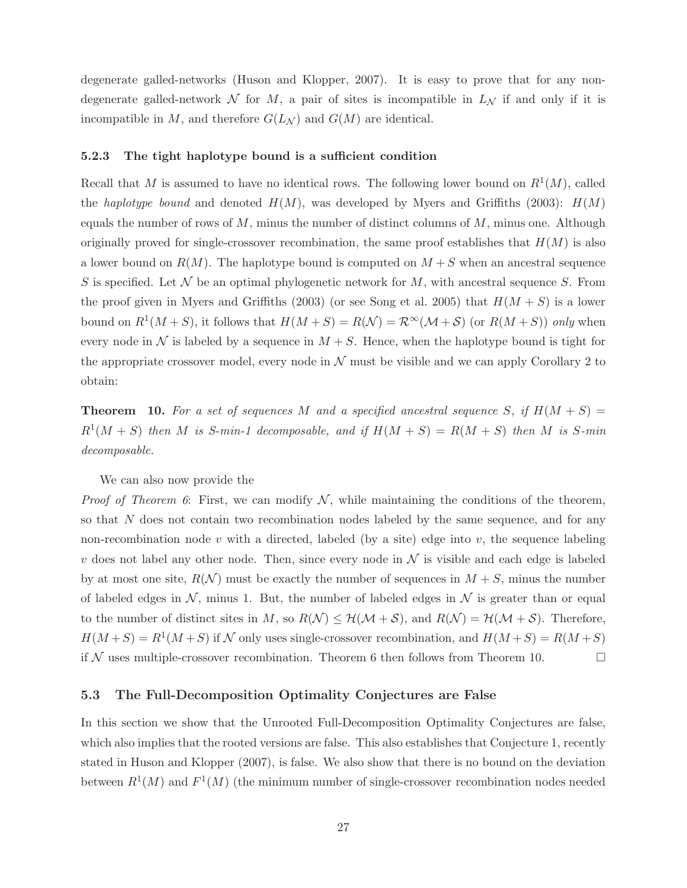degenerate galled-networks (Huson and Klopper, 2007). It is easy to prove that for any nondegenerate galled-network N for M, a pair of sites is incompatible in  $L<sub>N</sub>$  if and only if it is incompatible in M, and therefore  $G(L_N)$  and  $G(M)$  are identical.

## 5.2.3 The tight haplotype bound is a sufficient condition

Recall that M is assumed to have no identical rows. The following lower bound on  $R^1(M)$ , called the *haplotype bound* and denoted  $H(M)$ , was developed by Myers and Griffiths (2003):  $H(M)$ equals the number of rows of  $M$ , minus the number of distinct columns of  $M$ , minus one. Although originally proved for single-crossover recombination, the same proof establishes that  $H(M)$  is also a lower bound on  $R(M)$ . The haplotype bound is computed on  $M + S$  when an ancestral sequence S is specified. Let  $\mathcal N$  be an optimal phylogenetic network for  $M$ , with ancestral sequence S. From the proof given in Myers and Griffiths (2003) (or see Song et al. 2005) that  $H(M + S)$  is a lower bound on  $R^1(M+S)$ , it follows that  $H(M+S) = R(\mathcal{N}) = \mathcal{R}^{\infty}(\mathcal{M} + \mathcal{S})$  (or  $R(M+S)$ ) only when every node in N is labeled by a sequence in  $M + S$ . Hence, when the haplotype bound is tight for the appropriate crossover model, every node in  $\mathcal N$  must be visible and we can apply Corollary 2 to obtain:

**Theorem 10.** For a set of sequences M and a specified ancestral sequence S, if  $H(M + S)$  =  $R^1(M + S)$  then M is S-min-1 decomposable, and if  $H(M + S) = R(M + S)$  then M is S-min decomposable.

## We can also now provide the

*Proof of Theorem 6*: First, we can modify  $\mathcal{N}$ , while maintaining the conditions of the theorem, so that N does not contain two recombination nodes labeled by the same sequence, and for any non-recombination node v with a directed, labeled (by a site) edge into v, the sequence labeling v does not label any other node. Then, since every node in  $\mathcal N$  is visible and each edge is labeled by at most one site,  $R(\mathcal{N})$  must be exactly the number of sequences in  $M + S$ , minus the number of labeled edges in  $\mathcal{N}$ , minus 1. But, the number of labeled edges in  $\mathcal{N}$  is greater than or equal to the number of distinct sites in M, so  $R(\mathcal{N}) \leq H(\mathcal{M} + \mathcal{S})$ , and  $R(\mathcal{N}) = H(\mathcal{M} + \mathcal{S})$ . Therefore,  $H(M+S) = R<sup>1</sup>(M+S)$  if N only uses single-crossover recombination, and  $H(M+S) = R(M+S)$ if  $N$  uses multiple-crossover recombination. Theorem 6 then follows from Theorem 10.

## 5.3 The Full-Decomposition Optimality Conjectures are False

In this section we show that the Unrooted Full-Decomposition Optimality Conjectures are false, which also implies that the rooted versions are false. This also establishes that Conjecture 1, recently stated in Huson and Klopper (2007), is false. We also show that there is no bound on the deviation between  $R^1(M)$  and  $F^1(M)$  (the minimum number of single-crossover recombination nodes needed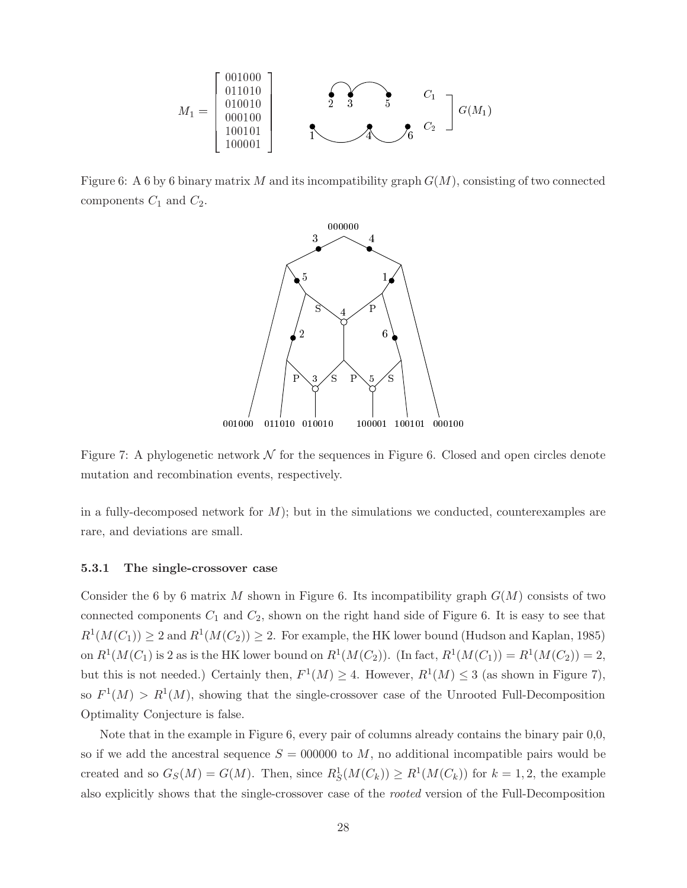

Figure 6: A 6 by 6 binary matrix M and its incompatibility graph  $G(M)$ , consisting of two connected components  $C_1$  and  $C_2$ .



Figure 7: A phylogenetic network  $\mathcal N$  for the sequences in Figure 6. Closed and open circles denote mutation and recombination events, respectively.

in a fully-decomposed network for  $M$ ); but in the simulations we conducted, counterexamples are rare, and deviations are small.

#### 5.3.1 The single-crossover case

Consider the 6 by 6 matrix M shown in Figure 6. Its incompatibility graph  $G(M)$  consists of two connected components  $C_1$  and  $C_2$ , shown on the right hand side of Figure 6. It is easy to see that  $R^1(M(C_1)) \geq 2$  and  $R^1(M(C_2)) \geq 2$ . For example, the HK lower bound (Hudson and Kaplan, 1985) on  $R^1(M(C_1))$  is 2 as is the HK lower bound on  $R^1(M(C_2))$ . (In fact,  $R^1(M(C_1)) = R^1(M(C_2)) = 2$ , but this is not needed.) Certainly then,  $F^1(M) \geq 4$ . However,  $R^1(M) \leq 3$  (as shown in Figure 7), so  $F^1(M) > R^1(M)$ , showing that the single-crossover case of the Unrooted Full-Decomposition Optimality Conjecture is false.

Note that in the example in Figure 6, every pair of columns already contains the binary pair 0,0, so if we add the ancestral sequence  $S = 000000$  to M, no additional incompatible pairs would be created and so  $G_S(M) = G(M)$ . Then, since  $R_S^1(M(C_k)) \geq R^1(M(C_k))$  for  $k = 1, 2$ , the example also explicitly shows that the single-crossover case of the rooted version of the Full-Decomposition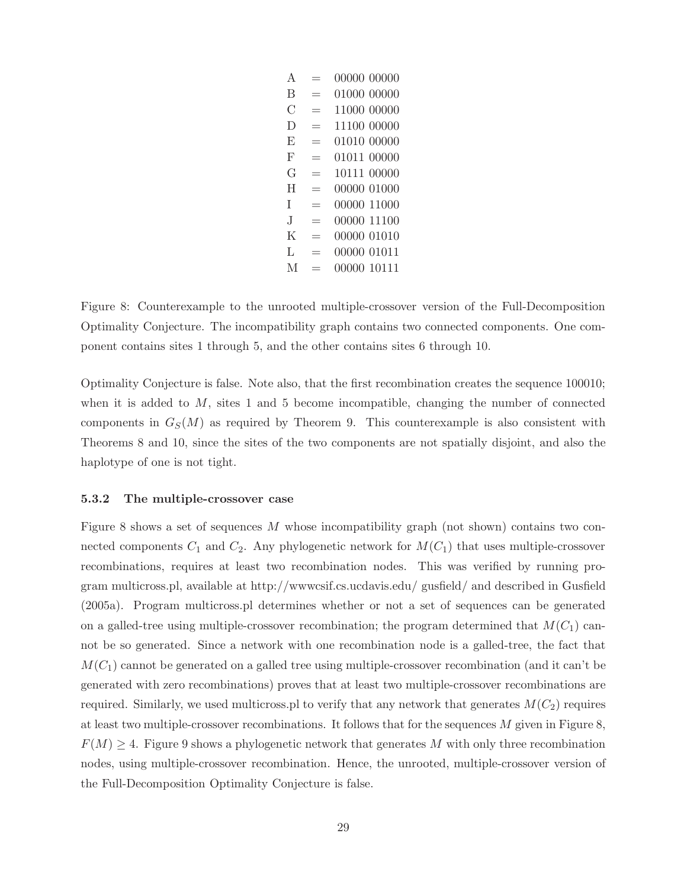| $\mathbf{A}$ |   | 00000 00000 |
|--------------|---|-------------|
| B            |   | 01000 00000 |
| $\bigcap$    |   | 11000 00000 |
| $\Box$       | - | 11100 00000 |
| E            | - | 01010 00000 |
| F            | - | 01011 00000 |
| G            | - | 10111 00000 |
| H            |   | 00000 01000 |
| T            |   | 00000 11000 |
| J.           |   | 00000 11100 |
| K            |   | 00000 01010 |
| L            |   | 00000 01011 |
| М            |   | 00000 10111 |

Figure 8: Counterexample to the unrooted multiple-crossover version of the Full-Decomposition Optimality Conjecture. The incompatibility graph contains two connected components. One component contains sites 1 through 5, and the other contains sites 6 through 10.

Optimality Conjecture is false. Note also, that the first recombination creates the sequence 100010; when it is added to  $M$ , sites 1 and 5 become incompatible, changing the number of connected components in  $G<sub>S</sub>(M)$  as required by Theorem 9. This counterexample is also consistent with Theorems 8 and 10, since the sites of the two components are not spatially disjoint, and also the haplotype of one is not tight.

#### 5.3.2 The multiple-crossover case

Figure 8 shows a set of sequences M whose incompatibility graph (not shown) contains two connected components  $C_1$  and  $C_2$ . Any phylogenetic network for  $M(C_1)$  that uses multiple-crossover recombinations, requires at least two recombination nodes. This was verified by running program multicross.pl, available at http://wwwcsif.cs.ucdavis.edu/ gusfield/ and described in Gusfield (2005a). Program multicross.pl determines whether or not a set of sequences can be generated on a galled-tree using multiple-crossover recombination; the program determined that  $M(C_1)$  cannot be so generated. Since a network with one recombination node is a galled-tree, the fact that  $M(C_1)$  cannot be generated on a galled tree using multiple-crossover recombination (and it can't be generated with zero recombinations) proves that at least two multiple-crossover recombinations are required. Similarly, we used multicross.pl to verify that any network that generates  $M(C_2)$  requires at least two multiple-crossover recombinations. It follows that for the sequences  $M$  given in Figure 8,  $F(M) \geq 4$ . Figure 9 shows a phylogenetic network that generates M with only three recombination nodes, using multiple-crossover recombination. Hence, the unrooted, multiple-crossover version of the Full-Decomposition Optimality Conjecture is false.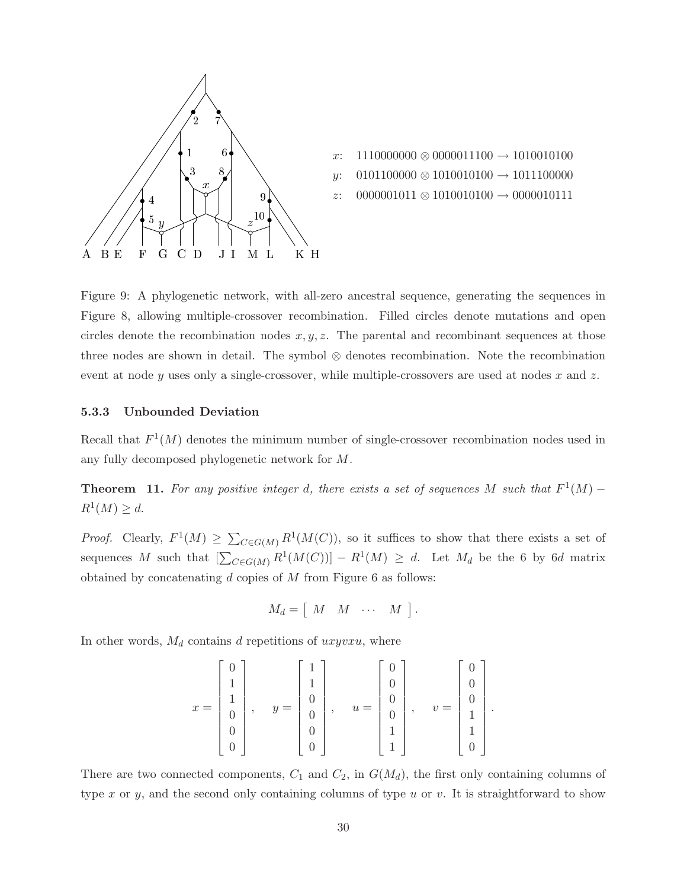

x:  $1110000000 \otimes 0000011100 \rightarrow 1010010100$ y: 0101100000 ⊗ 1010010100 → 1011100000 z: 0000001011 ⊗ 1010010100 → 0000010111

.

Figure 9: A phylogenetic network, with all-zero ancestral sequence, generating the sequences in Figure 8, allowing multiple-crossover recombination. Filled circles denote mutations and open circles denote the recombination nodes  $x, y, z$ . The parental and recombinant sequences at those three nodes are shown in detail. The symbol ⊗ denotes recombination. Note the recombination event at node y uses only a single-crossover, while multiple-crossovers are used at nodes x and z.

## 5.3.3 Unbounded Deviation

Recall that  $F^1(M)$  denotes the minimum number of single-crossover recombination nodes used in any fully decomposed phylogenetic network for M.

**Theorem 11.** For any positive integer d, there exists a set of sequences M such that  $F^1(M)$  –  $R^1(M) \geq d.$ 

*Proof.* Clearly,  $F^1(M) \ge \sum_{C \in G(M)} R^1(M(C))$ , so it suffices to show that there exists a set of sequences M such that  $[\sum_{C \in G(M)} R^1(M(C))] - R^1(M) \ge d$ . Let  $M_d$  be the 6 by 6d matrix obtained by concatenating  $d$  copies of  $M$  from Figure 6 as follows:

$$
M_d = [M \quad M \quad \cdots \quad M].
$$

In other words,  $M_d$  contains d repetitions of uxyvxu, where

$$
x = \begin{bmatrix} 0 \\ 1 \\ 1 \\ 0 \\ 0 \\ 0 \end{bmatrix}, \quad y = \begin{bmatrix} 1 \\ 1 \\ 0 \\ 0 \\ 0 \\ 0 \end{bmatrix}, \quad u = \begin{bmatrix} 0 \\ 0 \\ 0 \\ 0 \\ 1 \\ 1 \end{bmatrix}, \quad v = \begin{bmatrix} 0 \\ 0 \\ 0 \\ 1 \\ 1 \\ 0 \end{bmatrix}
$$

There are two connected components,  $C_1$  and  $C_2$ , in  $G(M_d)$ , the first only containing columns of type x or y, and the second only containing columns of type  $u$  or  $v$ . It is straightforward to show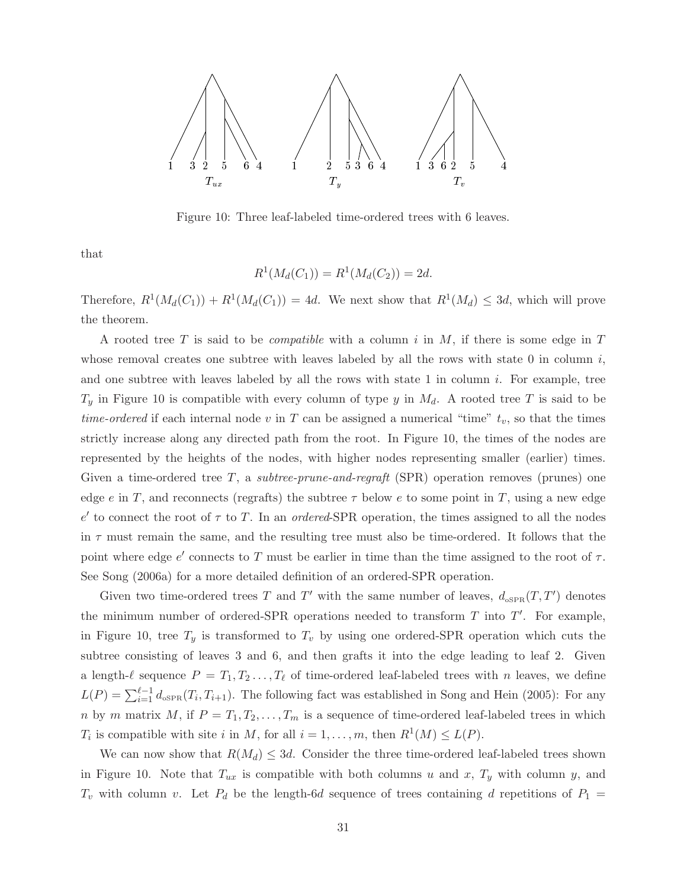

Figure 10: Three leaf-labeled time-ordered trees with 6 leaves.

that

$$
R^1(M_d(C_1)) = R^1(M_d(C_2)) = 2d.
$$

Therefore,  $R^1(M_d(C_1)) + R^1(M_d(C_1)) = 4d$ . We next show that  $R^1(M_d) \leq 3d$ , which will prove the theorem.

A rooted tree T is said to be *compatible* with a column i in  $M$ , if there is some edge in  $T$ whose removal creates one subtree with leaves labeled by all the rows with state 0 in column  $i$ , and one subtree with leaves labeled by all the rows with state 1 in column  $i$ . For example, tree  $T_y$  in Figure 10 is compatible with every column of type y in  $M_d$ . A rooted tree T is said to be time-ordered if each internal node v in T can be assigned a numerical "time"  $t_v$ , so that the times strictly increase along any directed path from the root. In Figure 10, the times of the nodes are represented by the heights of the nodes, with higher nodes representing smaller (earlier) times. Given a time-ordered tree  $T$ , a *subtree-prune-and-regraft* (SPR) operation removes (prunes) one edge e in T, and reconnects (regrafts) the subtree  $\tau$  below e to some point in T, using a new edge  $e'$  to connect the root of  $\tau$  to T. In an *ordered*-SPR operation, the times assigned to all the nodes in  $\tau$  must remain the same, and the resulting tree must also be time-ordered. It follows that the point where edge  $e'$  connects to T must be earlier in time than the time assigned to the root of  $\tau$ . See Song (2006a) for a more detailed definition of an ordered-SPR operation.

Given two time-ordered trees T and T' with the same number of leaves,  $d_{\text{osPR}}(T, T')$  denotes the minimum number of ordered-SPR operations needed to transform  $T$  into  $T'$ . For example, in Figure 10, tree  $T_y$  is transformed to  $T_v$  by using one ordered-SPR operation which cuts the subtree consisting of leaves 3 and 6, and then grafts it into the edge leading to leaf 2. Given a length- $\ell$  sequence  $P = T_1, T_2, \ldots, T_\ell$  of time-ordered leaf-labeled trees with n leaves, we define  $L(P) = \sum_{i=1}^{\ell-1} d_{\text{osPR}}(T_i, T_{i+1})$ . The following fact was established in Song and Hein (2005): For any n by m matrix M, if  $P = T_1, T_2, \ldots, T_m$  is a sequence of time-ordered leaf-labeled trees in which  $T_i$  is compatible with site i in M, for all  $i = 1, ..., m$ , then  $R^1(M) \leq L(P)$ .

We can now show that  $R(M_d) \leq 3d$ . Consider the three time-ordered leaf-labeled trees shown in Figure 10. Note that  $T_{ux}$  is compatible with both columns u and x,  $T_y$  with column y, and  $T_v$  with column v. Let  $P_d$  be the length-6d sequence of trees containing d repetitions of  $P_1 =$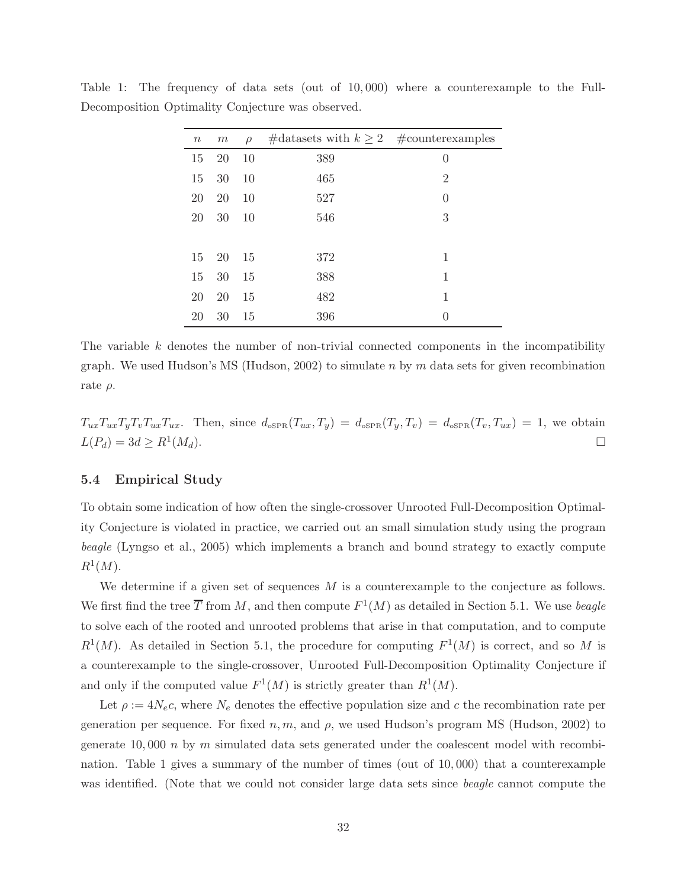| $\, n$ | m         | $\rho$ | #datasets with $k \geq 2$ #counterexamples |                  |
|--------|-----------|--------|--------------------------------------------|------------------|
| 15     | 20        | 10     | 389                                        | 0                |
| 15     | 30        | 10     | 465                                        | $\overline{2}$   |
| 20     | 20        | 10     | 527                                        | $\left( \right)$ |
| 20     | 30        | 10     | 546                                        | 3                |
|        |           |        |                                            |                  |
| 15     | <b>20</b> | 15     | 372                                        | 1                |
| 15     | 30        | 15     | 388                                        | 1                |
| 20     | 20        | 15     | 482                                        | 1                |
| 20     | 30        | 15     | 396                                        | 0                |

Table 1: The frequency of data sets (out of 10, 000) where a counterexample to the Full-Decomposition Optimality Conjecture was observed.

The variable  $k$  denotes the number of non-trivial connected components in the incompatibility graph. We used Hudson's MS (Hudson, 2002) to simulate n by m data sets for given recombination rate  $\rho$ .

 $T_{ux}T_{ux}T_yT_vT_{ux}T_{ux}$ . Then, since  $d_{\text{ospr}}(T_{ux},T_y) = d_{\text{ospr}}(T_y,T_v) = d_{\text{ospr}}(T_v,T_{ux}) = 1$ , we obtain  $L(P_d) = 3d \geq R^1(M_d).$  $(M_d).$ 

## 5.4 Empirical Study

To obtain some indication of how often the single-crossover Unrooted Full-Decomposition Optimality Conjecture is violated in practice, we carried out an small simulation study using the program beagle (Lyngso et al., 2005) which implements a branch and bound strategy to exactly compute  $R^1(M)$ .

We determine if a given set of sequences  $M$  is a counterexample to the conjecture as follows. We first find the tree  $\overline{T}$  from M, and then compute  $F^1(M)$  as detailed in Section 5.1. We use *beagle* to solve each of the rooted and unrooted problems that arise in that computation, and to compute  $R^1(M)$ . As detailed in Section 5.1, the procedure for computing  $F^1(M)$  is correct, and so M is a counterexample to the single-crossover, Unrooted Full-Decomposition Optimality Conjecture if and only if the computed value  $F^1(M)$  is strictly greater than  $R^1(M)$ .

Let  $\rho := 4N_e c$ , where  $N_e$  denotes the effective population size and c the recombination rate per generation per sequence. For fixed  $n, m$ , and  $\rho$ , we used Hudson's program MS (Hudson, 2002) to generate 10,000 n by  $m$  simulated data sets generated under the coalescent model with recombination. Table 1 gives a summary of the number of times (out of 10, 000) that a counterexample was identified. (Note that we could not consider large data sets since *beagle* cannot compute the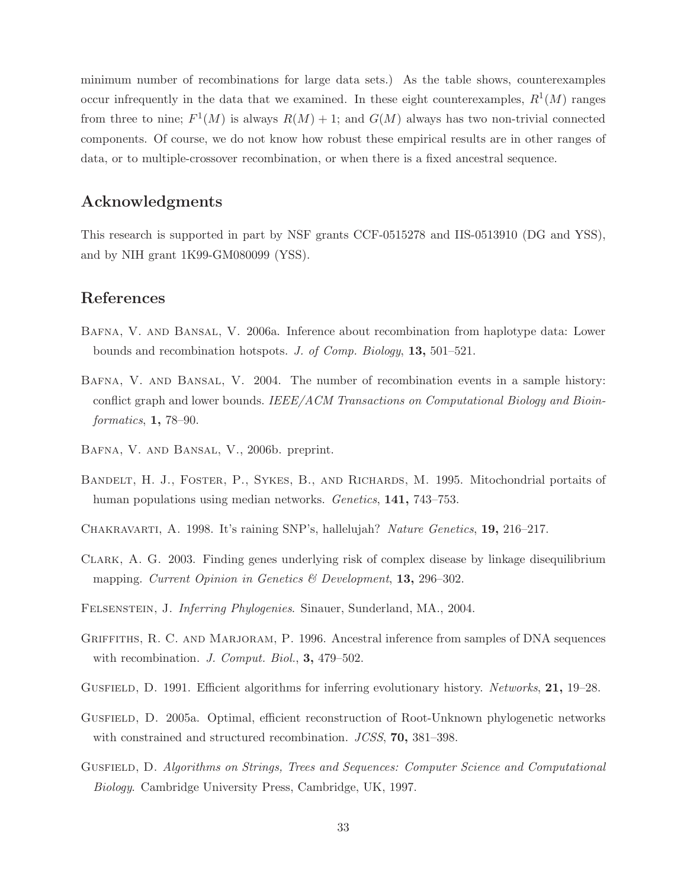minimum number of recombinations for large data sets.) As the table shows, counterexamples occur infrequently in the data that we examined. In these eight counterexamples,  $R^1(M)$  ranges from three to nine;  $F^1(M)$  is always  $R(M) + 1$ ; and  $G(M)$  always has two non-trivial connected components. Of course, we do not know how robust these empirical results are in other ranges of data, or to multiple-crossover recombination, or when there is a fixed ancestral sequence.

# Acknowledgments

This research is supported in part by NSF grants CCF-0515278 and IIS-0513910 (DG and YSS), and by NIH grant 1K99-GM080099 (YSS).

# References

- Bafna, V. and Bansal, V. 2006a. Inference about recombination from haplotype data: Lower bounds and recombination hotspots. J. of Comp. Biology, 13, 501–521.
- Bafna, V. and Bansal, V. 2004. The number of recombination events in a sample history: conflict graph and lower bounds. IEEE/ACM Transactions on Computational Biology and Bioinformatics, 1, 78–90.
- Bafna, V. and Bansal, V., 2006b. preprint.
- BANDELT, H. J., FOSTER, P., SYKES, B., AND RICHARDS, M. 1995. Mitochondrial portaits of human populations using median networks. *Genetics*, **141**, **743–753**.
- Chakravarti, A. 1998. It's raining SNP's, hallelujah? Nature Genetics, 19, 216–217.
- Clark, A. G. 2003. Finding genes underlying risk of complex disease by linkage disequilibrium mapping. Current Opinion in Genetics  $\mathcal C$  Development, 13, 296–302.
- Felsenstein, J. Inferring Phylogenies. Sinauer, Sunderland, MA., 2004.
- GRIFFITHS, R. C. AND MARJORAM, P. 1996. Ancestral inference from samples of DNA sequences with recombination. J. Comput. Biol.,  $3, 479-502$ .
- Gusfield, D. 1991. Efficient algorithms for inferring evolutionary history. Networks, 21, 19–28.
- Gusfield, D. 2005a. Optimal, efficient reconstruction of Root-Unknown phylogenetic networks with constrained and structured recombination. JCSS, **70**, 381–398.
- Gusfield, D. Algorithms on Strings, Trees and Sequences: Computer Science and Computational Biology. Cambridge University Press, Cambridge, UK, 1997.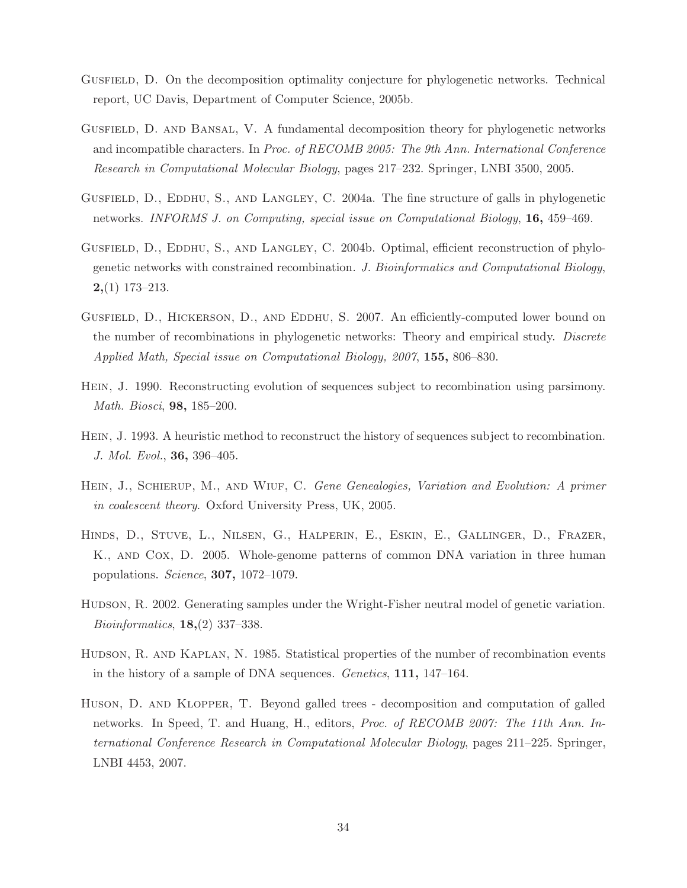- Gusfield, D. On the decomposition optimality conjecture for phylogenetic networks. Technical report, UC Davis, Department of Computer Science, 2005b.
- Gusfield, D. and Bansal, V. A fundamental decomposition theory for phylogenetic networks and incompatible characters. In Proc. of RECOMB 2005: The 9th Ann. International Conference Research in Computational Molecular Biology, pages 217–232. Springer, LNBI 3500, 2005.
- GUSFIELD, D., EDDHU, S., AND LANGLEY, C. 2004a. The fine structure of galls in phylogenetic networks. INFORMS J. on Computing, special issue on Computational Biology, 16, 459–469.
- GUSFIELD, D., EDDHU, S., AND LANGLEY, C. 2004b. Optimal, efficient reconstruction of phylogenetic networks with constrained recombination. J. Bioinformatics and Computational Biology,  $2, (1)$  173-213.
- GUSFIELD, D., HICKERSON, D., AND EDDHU, S. 2007. An efficiently-computed lower bound on the number of recombinations in phylogenetic networks: Theory and empirical study. Discrete Applied Math, Special issue on Computational Biology, 2007, 155, 806–830.
- Hein, J. 1990. Reconstructing evolution of sequences subject to recombination using parsimony. Math. Biosci, 98, 185–200.
- Hein, J. 1993. A heuristic method to reconstruct the history of sequences subject to recombination. J. Mol. Evol., 36, 396–405.
- HEIN, J., SCHIERUP, M., AND WIUF, C. Gene Genealogies, Variation and Evolution: A primer in coalescent theory. Oxford University Press, UK, 2005.
- Hinds, D., Stuve, L., Nilsen, G., Halperin, E., Eskin, E., Gallinger, D., Frazer, K., and Cox, D. 2005. Whole-genome patterns of common DNA variation in three human populations. Science, 307, 1072–1079.
- HUDSON, R. 2002. Generating samples under the Wright-Fisher neutral model of genetic variation. *Bioinformatics*, **18**, (2) 337–338.
- Hudson, R. and Kaplan, N. 1985. Statistical properties of the number of recombination events in the history of a sample of DNA sequences. Genetics, 111, 147–164.
- Huson, D. and Klopper, T. Beyond galled trees decomposition and computation of galled networks. In Speed, T. and Huang, H., editors, Proc. of RECOMB 2007: The 11th Ann. International Conference Research in Computational Molecular Biology, pages 211–225. Springer, LNBI 4453, 2007.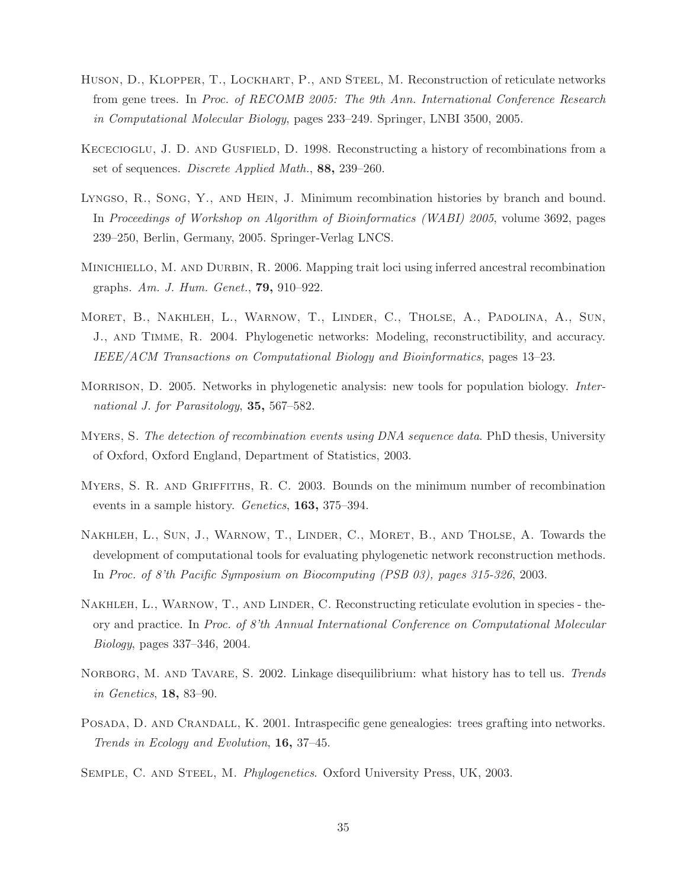- HUSON, D., KLOPPER, T., LOCKHART, P., AND STEEL, M. Reconstruction of reticulate networks from gene trees. In Proc. of RECOMB 2005: The 9th Ann. International Conference Research in Computational Molecular Biology, pages 233–249. Springer, LNBI 3500, 2005.
- Kececioglu, J. D. and Gusfield, D. 1998. Reconstructing a history of recombinations from a set of sequences. Discrete Applied Math., 88, 239–260.
- Lyngso, R., Song, Y., AND HEIN, J. Minimum recombination histories by branch and bound. In Proceedings of Workshop on Algorithm of Bioinformatics (WABI) 2005, volume 3692, pages 239–250, Berlin, Germany, 2005. Springer-Verlag LNCS.
- MINICHIELLO, M. AND DURBIN, R. 2006. Mapping trait loci using inferred ancestral recombination graphs. Am. J. Hum. Genet., 79, 910–922.
- Moret, B., Nakhleh, L., Warnow, T., Linder, C., Tholse, A., Padolina, A., Sun, J., and Timme, R. 2004. Phylogenetic networks: Modeling, reconstructibility, and accuracy. IEEE/ACM Transactions on Computational Biology and Bioinformatics, pages 13–23.
- MORRISON, D. 2005. Networks in phylogenetic analysis: new tools for population biology. International J. for Parasitology, 35, 567-582.
- MYERS, S. The detection of recombination events using DNA sequence data. PhD thesis, University of Oxford, Oxford England, Department of Statistics, 2003.
- Myers, S. R. and Griffiths, R. C. 2003. Bounds on the minimum number of recombination events in a sample history. Genetics, 163, 375–394.
- Nakhleh, L., Sun, J., Warnow, T., Linder, C., Moret, B., and Tholse, A. Towards the development of computational tools for evaluating phylogenetic network reconstruction methods. In Proc. of 8'th Pacific Symposium on Biocomputing (PSB 03), pages 315-326, 2003.
- NAKHLEH, L., WARNOW, T., AND LINDER, C. Reconstructing reticulate evolution in species theory and practice. In Proc. of 8'th Annual International Conference on Computational Molecular Biology, pages 337–346, 2004.
- NORBORG, M. AND TAVARE, S. 2002. Linkage disequilibrium: what history has to tell us. Trends in Genetics, 18, 83–90.
- Posada, D. and Crandall, K. 2001. Intraspecific gene genealogies: trees grafting into networks. Trends in Ecology and Evolution, 16, 37–45.
- SEMPLE, C. AND STEEL, M. Phylogenetics. Oxford University Press, UK, 2003.